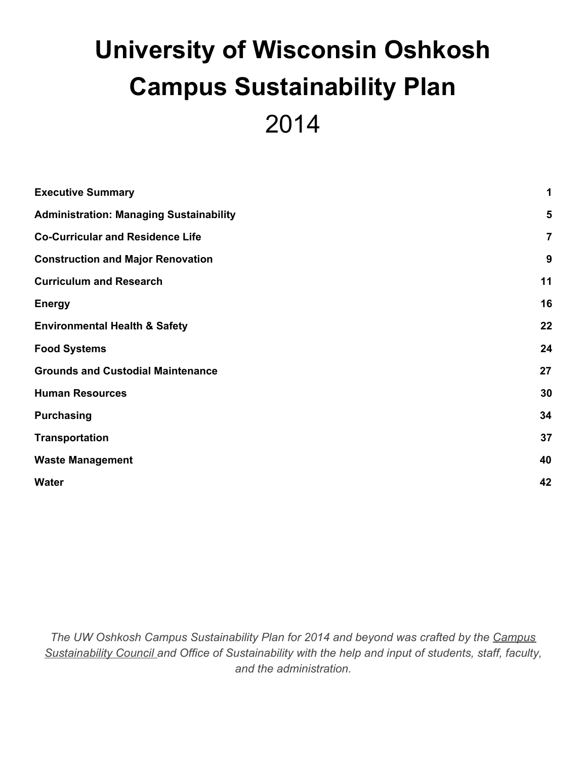# **University of Wisconsin Oshkosh Campus Sustainability Plan** 2014

| <b>Executive Summary</b>                       | 1              |
|------------------------------------------------|----------------|
| <b>Administration: Managing Sustainability</b> | 5              |
| <b>Co-Curricular and Residence Life</b>        | $\overline{7}$ |
| <b>Construction and Major Renovation</b>       | 9              |
| <b>Curriculum and Research</b>                 | 11             |
| <b>Energy</b>                                  | 16             |
| <b>Environmental Health &amp; Safety</b>       | 22             |
| <b>Food Systems</b>                            | 24             |
| <b>Grounds and Custodial Maintenance</b>       | 27             |
| <b>Human Resources</b>                         | 30             |
| <b>Purchasing</b>                              | 34             |
| <b>Transportation</b>                          | 37             |
| <b>Waste Management</b>                        | 40             |
| <b>Water</b>                                   | 42             |
|                                                |                |

*The UW Oshkosh Campus Sustainability Plan for 2014 and beyond was crafted by the [Campus](http://www.uwosh.edu/sustainability/about-us-1/campus-sustainability-council) [Sustainability Council a](http://www.uwosh.edu/sustainability/about-us-1/campus-sustainability-council)nd Office of Sustainability with the help and input of students, staff, faculty, and the administration.*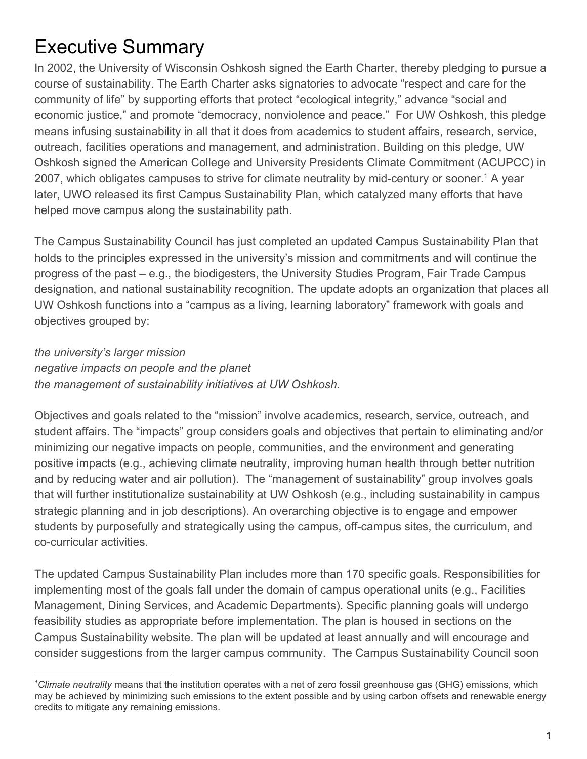# <span id="page-1-0"></span>Executive Summary

In 2002, the University of Wisconsin Oshkosh signed the Earth Charter, thereby pledging to pursue a course of sustainability. The Earth Charter asks signatories to advocate "respect and care for the community of life" by supporting efforts that protect "ecological integrity," advance "social and economic justice," and promote "democracy, nonviolence and peace." For UW Oshkosh, this pledge means infusing sustainability in all that it does from academics to student affairs, research, service, outreach, facilities operations and management, and administration. Building on this pledge, UW Oshkosh signed the American College and University Presidents Climate Commitment (ACUPCC) in 2007, which obligates campuses to strive for climate neutrality by mid-century or sooner.<sup>1</sup> A year later, UWO released its first Campus Sustainability Plan, which catalyzed many efforts that have helped move campus along the sustainability path.

The Campus Sustainability Council has just completed an updated Campus Sustainability Plan that holds to the principles expressed in the university's mission and commitments and will continue the progress of the past – e.g., the biodigesters, the University Studies Program, Fair Trade Campus designation, and national sustainability recognition. The update adopts an organization that places all UW Oshkosh functions into a "campus as a living, learning laboratory" framework with goals and objectives grouped by:

*the university's larger mission negative impacts on people and the planet the management of sustainability initiatives at UW Oshkosh.*

Objectives and goals related to the "mission" involve academics, research, service, outreach, and student affairs. The "impacts" group considers goals and objectives that pertain to eliminating and/or minimizing our negative impacts on people, communities, and the environment and generating positive impacts (e.g., achieving climate neutrality, improving human health through better nutrition and by reducing water and air pollution). The "management of sustainability" group involves goals that will further institutionalize sustainability at UW Oshkosh (e.g., including sustainability in campus strategic planning and in job descriptions). An overarching objective is to engage and empower students by purposefully and strategically using the campus, off-campus sites, the curriculum, and co-curricular activities.

The updated Campus Sustainability Plan includes more than 170 specific goals. Responsibilities for implementing most of the goals fall under the domain of campus operational units (e.g., Facilities Management, Dining Services, and Academic Departments). Specific planning goals will undergo feasibility studies as appropriate before implementation. The plan is housed in sections on the Campus Sustainability website. The plan will be updated at least annually and will encourage and consider suggestions from the larger campus community. The Campus Sustainability Council soon

*<sup>1</sup>Climate neutrality* means that the institution operates with a net of zero fossil greenhouse gas (GHG) emissions, which may be achieved by minimizing such emissions to the extent possible and by using carbon offsets and renewable energy credits to mitigate any remaining emissions.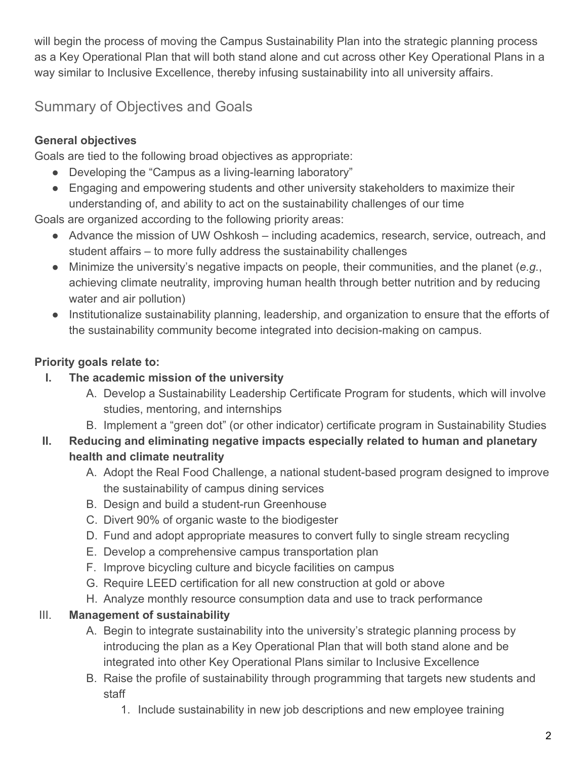will begin the process of moving the Campus Sustainability Plan into the strategic planning process as a Key Operational Plan that will both stand alone and cut across other Key Operational Plans in a way similar to Inclusive Excellence, thereby infusing sustainability into all university affairs.

# Summary of Objectives and Goals

# **General objectives**

Goals are tied to the following broad objectives as appropriate:

- Developing the "Campus as a living-learning laboratory"
- Engaging and empowering students and other university stakeholders to maximize their understanding of, and ability to act on the sustainability challenges of our time

Goals are organized according to the following priority areas:

- Advance the mission of UW Oshkosh including academics, research, service, outreach, and student affairs – to more fully address the sustainability challenges
- Minimize the university's negative impacts on people, their communities, and the planet (*e.g.*, achieving climate neutrality, improving human health through better nutrition and by reducing water and air pollution)
- Institutionalize sustainability planning, leadership, and organization to ensure that the efforts of the sustainability community become integrated into decision-making on campus.

# **Priority goals relate to:**

### **I. The academic mission of the university**

- A. Develop a Sustainability Leadership Certificate Program for students, which will involve studies, mentoring, and internships
- B. Implement a "green dot" (or other indicator) certificate program in Sustainability Studies

#### **II. Reducing and eliminating negative impacts especially related to human and planetary health and climate neutrality**

- A. Adopt the Real Food Challenge, a national student-based program designed to improve the sustainability of campus dining services
- B. Design and build a student-run Greenhouse
- C. Divert 90% of organic waste to the biodigester
- D. Fund and adopt appropriate measures to convert fully to single stream recycling
- E. Develop a comprehensive campus transportation plan
- F. Improve bicycling culture and bicycle facilities on campus
- G. Require LEED certification for all new construction at gold or above
- H. Analyze monthly resource consumption data and use to track performance

# III. **Management of sustainability**

- A. Begin to integrate sustainability into the university's strategic planning process by introducing the plan as a Key Operational Plan that will both stand alone and be integrated into other Key Operational Plans similar to Inclusive Excellence
- B. Raise the profile of sustainability through programming that targets new students and staff
	- 1. Include sustainability in new job descriptions and new employee training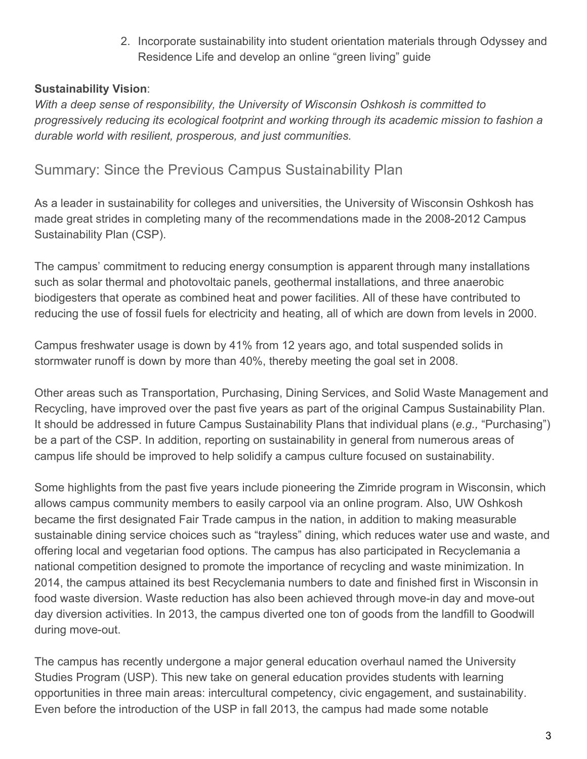2. Incorporate sustainability into student orientation materials through Odyssey and Residence Life and develop an online "green living" guide

#### **Sustainability Vision**:

*With a deep sense of responsibility, the University of Wisconsin Oshkosh is committed to progressively reducing its ecological footprint and working through its academic mission to fashion a durable world with resilient, prosperous, and just communities.*

# Summary: Since the Previous Campus Sustainability Plan

As a leader in sustainability for colleges and universities, the University of Wisconsin Oshkosh has made great strides in completing many of the recommendations made in the 2008-2012 Campus Sustainability Plan (CSP).

The campus' commitment to reducing energy consumption is apparent through many installations such as solar thermal and photovoltaic panels, geothermal installations, and three anaerobic biodigesters that operate as combined heat and power facilities. All of these have contributed to reducing the use of fossil fuels for electricity and heating, all of which are down from levels in 2000.

Campus freshwater usage is down by 41% from 12 years ago, and total suspended solids in stormwater runoff is down by more than 40%, thereby meeting the goal set in 2008.

Other areas such as Transportation, Purchasing, Dining Services, and Solid Waste Management and Recycling, have improved over the past five years as part of the original Campus Sustainability Plan. It should be addressed in future Campus Sustainability Plans that individual plans (*e.g.,* "Purchasing") be a part of the CSP. In addition, reporting on sustainability in general from numerous areas of campus life should be improved to help solidify a campus culture focused on sustainability.

Some highlights from the past five years include pioneering the Zimride program in Wisconsin, which allows campus community members to easily carpool via an online program. Also, UW Oshkosh became the first designated Fair Trade campus in the nation, in addition to making measurable sustainable dining service choices such as "trayless" dining, which reduces water use and waste, and offering local and vegetarian food options. The campus has also participated in Recyclemania a national competition designed to promote the importance of recycling and waste minimization. In 2014, the campus attained its best Recyclemania numbers to date and finished first in Wisconsin in food waste diversion. Waste reduction has also been achieved through move-in day and move-out day diversion activities. In 2013, the campus diverted one ton of goods from the landfill to Goodwill during move-out.

The campus has recently undergone a major general education overhaul named the University Studies Program (USP). This new take on general education provides students with learning opportunities in three main areas: intercultural competency, civic engagement, and sustainability. Even before the introduction of the USP in fall 2013, the campus had made some notable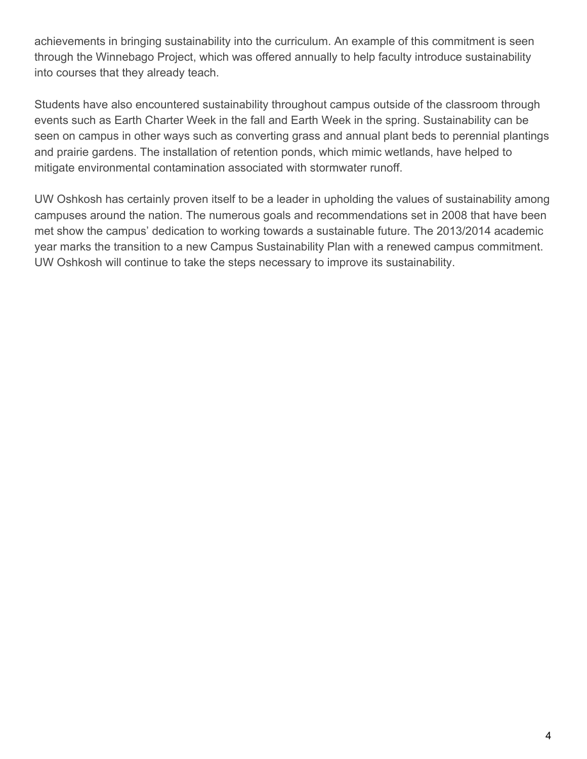achievements in bringing sustainability into the curriculum. An example of this commitment is seen through the Winnebago Project, which was offered annually to help faculty introduce sustainability into courses that they already teach.

Students have also encountered sustainability throughout campus outside of the classroom through events such as Earth Charter Week in the fall and Earth Week in the spring. Sustainability can be seen on campus in other ways such as converting grass and annual plant beds to perennial plantings and prairie gardens. The installation of retention ponds, which mimic wetlands, have helped to mitigate environmental contamination associated with stormwater runoff.

UW Oshkosh has certainly proven itself to be a leader in upholding the values of sustainability among campuses around the nation. The numerous goals and recommendations set in 2008 that have been met show the campus' dedication to working towards a sustainable future. The 2013/2014 academic year marks the transition to a new Campus Sustainability Plan with a renewed campus commitment. UW Oshkosh will continue to take the steps necessary to improve its sustainability.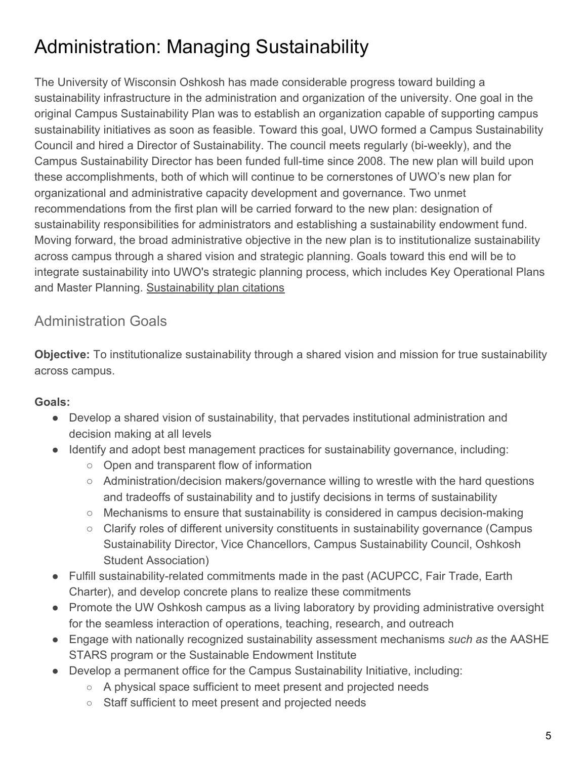# <span id="page-5-0"></span>Administration: Managing Sustainability

The University of Wisconsin Oshkosh has made considerable progress toward building a sustainability infrastructure in the administration and organization of the university. One goal in the original Campus Sustainability Plan was to establish an organization capable of supporting campus sustainability initiatives as soon as feasible. Toward this goal, UWO formed a Campus Sustainability Council and hired a Director of Sustainability. The council meets regularly (bi-weekly), and the Campus Sustainability Director has been funded full-time since 2008. The new plan will build upon these accomplishments, both of which will continue to be cornerstones of UWO's new plan for organizational and administrative capacity development and governance. Two unmet recommendations from the first plan will be carried forward to the new plan: designation of sustainability responsibilities for administrators and establishing a sustainability endowment fund. Moving forward, the broad administrative objective in the new plan is to institutionalize sustainability across campus through a shared vision and strategic planning. Goals toward this end will be to integrate sustainability into UWO's strategic planning process, which includes Key Operational Plans and Master Planning. [Sustainability plan citations](http://www.uwosh.edu/srd/index.php/references/keyword/susplan)

# Administration Goals

**Objective:** To institutionalize sustainability through a shared vision and mission for true sustainability across campus.

# **Goals:**

- Develop a shared vision of sustainability, that pervades institutional administration and decision making at all levels
- Identify and adopt best management practices for sustainability governance, including:
	- Open and transparent flow of information
	- Administration/decision makers/governance willing to wrestle with the hard questions and tradeoffs of sustainability and to justify decisions in terms of sustainability
	- Mechanisms to ensure that sustainability is considered in campus decision-making
	- Clarify roles of different university constituents in sustainability governance (Campus Sustainability Director, Vice Chancellors, Campus Sustainability Council, Oshkosh Student Association)
- Fulfill sustainability-related commitments made in the past (ACUPCC, Fair Trade, Earth Charter), and develop concrete plans to realize these commitments
- Promote the UW Oshkosh campus as a living laboratory by providing administrative oversight for the seamless interaction of operations, teaching, research, and outreach
- Engage with nationally recognized sustainability assessment mechanisms *such as* the AASHE STARS program or the Sustainable Endowment Institute
- Develop a permanent office for the Campus Sustainability Initiative, including:
	- A physical space sufficient to meet present and projected needs
	- Staff sufficient to meet present and projected needs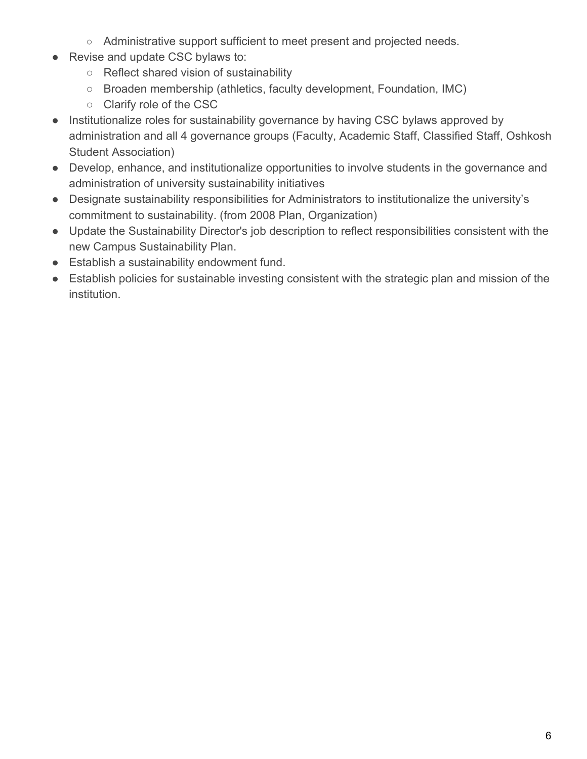- Administrative support sufficient to meet present and projected needs.
- Revise and update CSC bylaws to:
	- Reflect shared vision of sustainability
	- Broaden membership (athletics, faculty development, Foundation, IMC)
	- Clarify role of the CSC
- Institutionalize roles for sustainability governance by having CSC bylaws approved by administration and all 4 governance groups (Faculty, Academic Staff, Classified Staff, Oshkosh Student Association)
- Develop, enhance, and institutionalize opportunities to involve students in the governance and administration of university sustainability initiatives
- Designate sustainability responsibilities for Administrators to institutionalize the university's commitment to sustainability. (from 2008 Plan, Organization)
- Update the Sustainability Director's job description to reflect responsibilities consistent with the new Campus Sustainability Plan.
- Establish a sustainability endowment fund.
- Establish policies for sustainable investing consistent with the strategic plan and mission of the institution.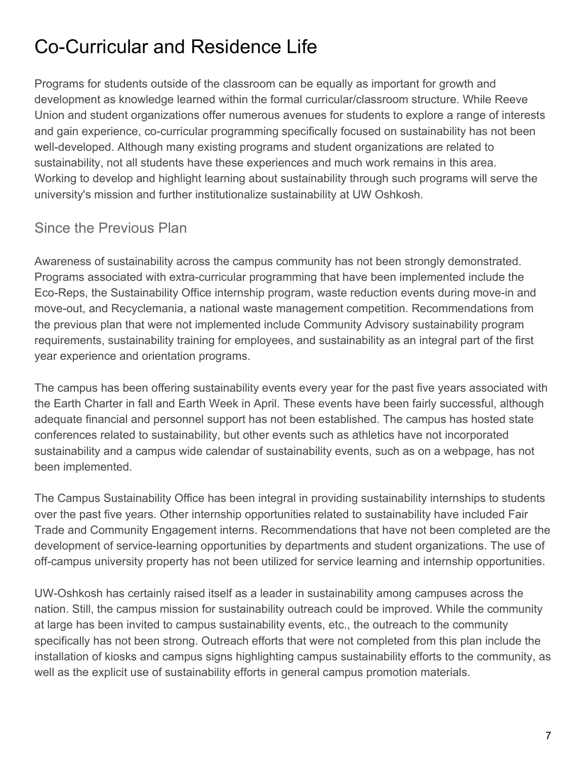# <span id="page-7-0"></span>Co-Curricular and Residence Life

Programs for students outside of the classroom can be equally as important for growth and development as knowledge learned within the formal curricular/classroom structure. While Reeve Union and student organizations offer numerous avenues for students to explore a range of interests and gain experience, co-curricular programming specifically focused on sustainability has not been well-developed. Although many existing programs and student organizations are related to sustainability, not all students have these experiences and much work remains in this area. Working to develop and highlight learning about sustainability through such programs will serve the university's mission and further institutionalize sustainability at UW Oshkosh.

# Since the Previous Plan

Awareness of sustainability across the campus community has not been strongly demonstrated. Programs associated with extra-curricular programming that have been implemented include the Eco-Reps, the Sustainability Office internship program, waste reduction events during move-in and move-out, and Recyclemania, a national waste management competition. Recommendations from the previous plan that were not implemented include Community Advisory sustainability program requirements, sustainability training for employees, and sustainability as an integral part of the first year experience and orientation programs.

The campus has been offering sustainability events every year for the past five years associated with the Earth Charter in fall and Earth Week in April. These events have been fairly successful, although adequate financial and personnel support has not been established. The campus has hosted state conferences related to sustainability, but other events such as athletics have not incorporated sustainability and a campus wide calendar of sustainability events, such as on a webpage, has not been implemented.

The Campus Sustainability Office has been integral in providing sustainability internships to students over the past five years. Other internship opportunities related to sustainability have included Fair Trade and Community Engagement interns. Recommendations that have not been completed are the development of service-learning opportunities by departments and student organizations. The use of off-campus university property has not been utilized for service learning and internship opportunities.

UW-Oshkosh has certainly raised itself as a leader in sustainability among campuses across the nation. Still, the campus mission for sustainability outreach could be improved. While the community at large has been invited to campus sustainability events, etc., the outreach to the community specifically has not been strong. Outreach efforts that were not completed from this plan include the installation of kiosks and campus signs highlighting campus sustainability efforts to the community, as well as the explicit use of sustainability efforts in general campus promotion materials.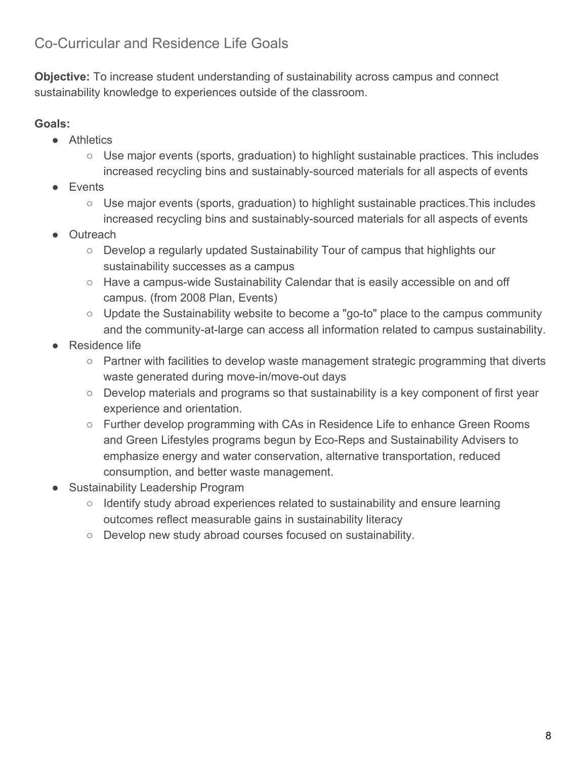# Co-Curricular and Residence Life Goals

**Objective:** To increase student understanding of sustainability across campus and connect sustainability knowledge to experiences outside of the classroom.

#### **Goals:**

- Athletics
	- Use major events (sports, graduation) to highlight sustainable practices. This includes increased recycling bins and sustainably-sourced materials for all aspects of events
- **Events** 
	- Use major events (sports, graduation) to highlight sustainable practices.This includes increased recycling bins and sustainably-sourced materials for all aspects of events
- Outreach
	- Develop a regularly updated Sustainability Tour of campus that highlights our sustainability successes as a campus
	- Have a campus-wide Sustainability Calendar that is easily accessible on and off campus. (from 2008 Plan, Events)
	- Update the Sustainability website to become a "go-to" place to the campus community and the community-at-large can access all information related to campus sustainability.
- **Residence life** 
	- Partner with facilities to develop waste management strategic programming that diverts waste generated during move-in/move-out days
	- Develop materials and programs so that sustainability is a key component of first year experience and orientation.
	- Further develop programming with CAs in Residence Life to enhance Green Rooms and Green Lifestyles programs begun by Eco-Reps and Sustainability Advisers to emphasize energy and water conservation, alternative transportation, reduced consumption, and better waste management.
- Sustainability Leadership Program
	- Identify study abroad experiences related to sustainability and ensure learning outcomes reflect measurable gains in sustainability literacy
	- Develop new study abroad courses focused on sustainability.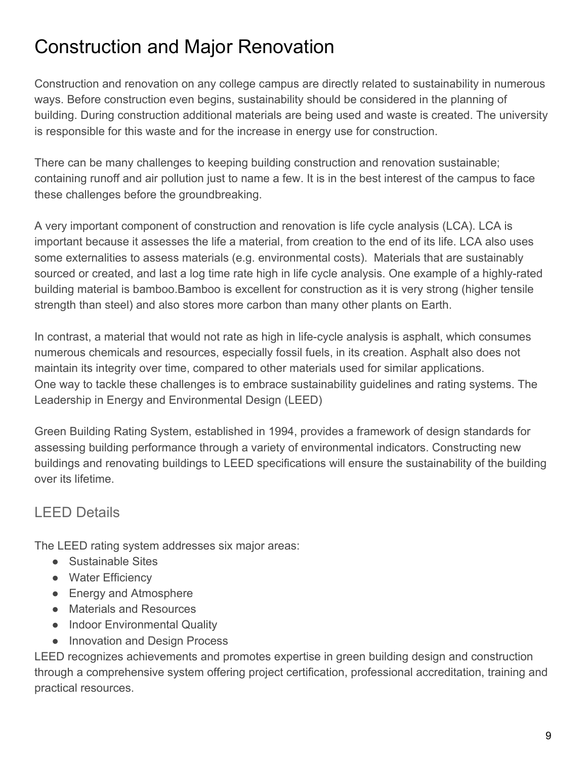# <span id="page-9-0"></span>Construction and Major Renovation

Construction and renovation on any college campus are directly related to sustainability in numerous ways. Before construction even begins, sustainability should be considered in the planning of building. During construction additional materials are being used and waste is created. The university is responsible for this waste and for the increase in energy use for construction.

There can be many challenges to keeping building construction and renovation sustainable; containing runoff and air pollution just to name a few. It is in the best interest of the campus to face these challenges before the groundbreaking.

A very important component of construction and renovation is life cycle analysis (LCA). LCA is important because it assesses the life a material, from creation to the end of its life. LCA also uses some externalities to assess materials (e.g. environmental costs). Materials that are sustainably sourced or created, and last a log time rate high in life cycle analysis. One example of a highly-rated building material is bamboo.Bamboo is excellent for construction as it is very strong (higher tensile strength than steel) and also stores more carbon than many other plants on Earth.

In contrast, a material that would not rate as high in life-cycle analysis is asphalt, which consumes numerous chemicals and resources, especially fossil fuels, in its creation. Asphalt also does not maintain its integrity over time, compared to other materials used for similar applications. One way to tackle these challenges is to embrace sustainability guidelines and rating systems. The Leadership in Energy and Environmental Design (LEED)

Green Building Rating System, established in 1994, provides a framework of design standards for assessing building performance through a variety of environmental indicators. Constructing new buildings and renovating buildings to LEED specifications will ensure the sustainability of the building over its lifetime.

# LEED Details

The LEED rating system addresses six major areas:

- Sustainable Sites
- Water Efficiency
- Energy and Atmosphere
- Materials and Resources
- Indoor Environmental Quality
- Innovation and Design Process

LEED recognizes achievements and promotes expertise in green building design and construction through a comprehensive system offering project certification, professional accreditation, training and practical resources.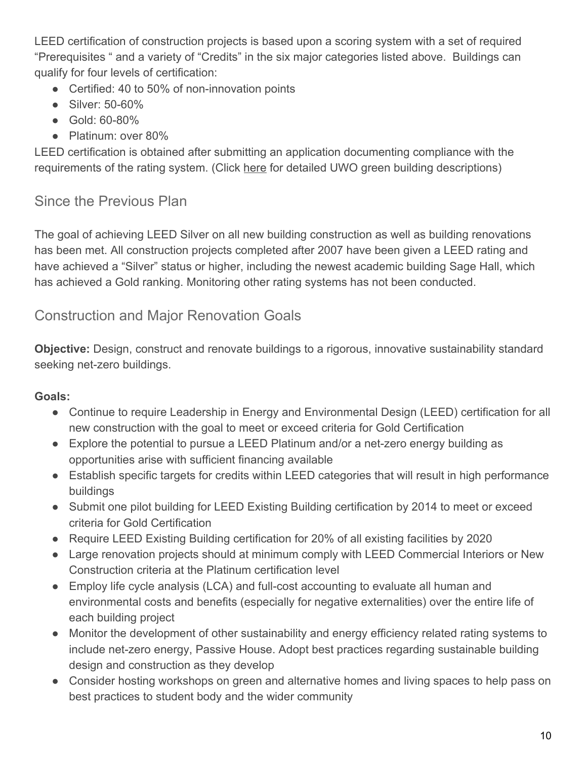LEED certification of construction projects is based upon a scoring system with a set of required "Prerequisites " and a variety of "Credits" in the six major categories listed above. Buildings can qualify for four levels of certification:

- Certified: 40 to 50% of non-innovation points
- Silver: 50-60%
- Gold: 60-80%
- Platinum: over 80%

LEED certification is obtained after submitting an application documenting compliance with the requirements of the rating system. (Click [here](https://www.uwosh.edu/sustainability/what-were-doing/green-buildings) for detailed UWO green building descriptions)

# Since the Previous Plan

The goal of achieving LEED Silver on all new building construction as well as building renovations has been met. All construction projects completed after 2007 have been given a LEED rating and have achieved a "Silver" status or higher, including the newest academic building Sage Hall, which has achieved a Gold ranking. Monitoring other rating systems has not been conducted.

# Construction and Major Renovation Goals

**Objective:** Design, construct and renovate buildings to a rigorous, innovative sustainability standard seeking net-zero buildings.

# **Goals:**

- Continue to require Leadership in Energy and Environmental Design (LEED) certification for all new construction with the goal to meet or exceed criteria for Gold Certification
- Explore the potential to pursue a LEED Platinum and/or a net-zero energy building as opportunities arise with sufficient financing available
- Establish specific targets for credits within LEED categories that will result in high performance buildings
- Submit one pilot building for LEED Existing Building certification by 2014 to meet or exceed criteria for Gold Certification
- Require LEED Existing Building certification for 20% of all existing facilities by 2020
- Large renovation projects should at minimum comply with LEED Commercial Interiors or New Construction criteria at the Platinum certification level
- Employ life cycle analysis (LCA) and full-cost accounting to evaluate all human and environmental costs and benefits (especially for negative externalities) over the entire life of each building project
- Monitor the development of other sustainability and energy efficiency related rating systems to include net-zero energy, Passive House. Adopt best practices regarding sustainable building design and construction as they develop
- Consider hosting workshops on green and alternative homes and living spaces to help pass on best practices to student body and the wider community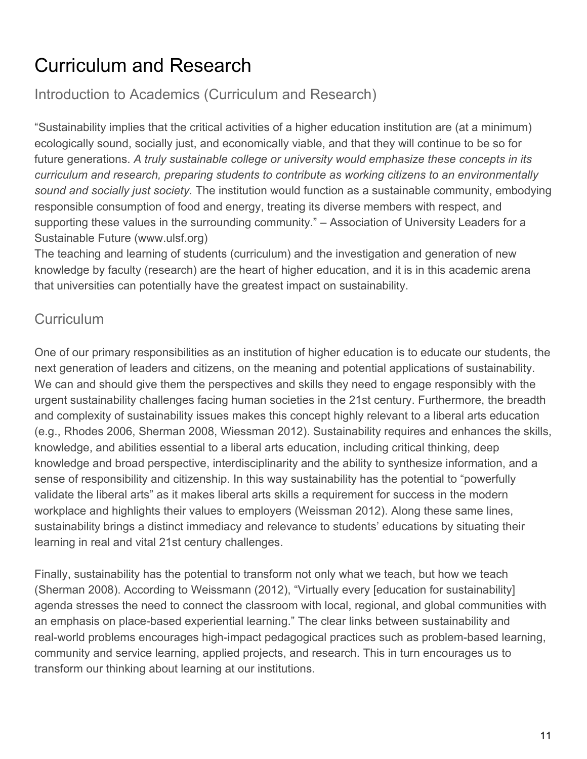# <span id="page-11-0"></span>Curriculum and Research

Introduction to Academics (Curriculum and Research)

"Sustainability implies that the critical activities of a higher education institution are (at a minimum) ecologically sound, socially just, and economically viable, and that they will continue to be so for future generations. *A truly sustainable college or university would emphasize these concepts in its curriculum and research, preparing students to contribute as working citizens to an environmentally sound and socially just society.* The institution would function as a sustainable community, embodying responsible consumption of food and energy, treating its diverse members with respect, and supporting these values in the surrounding community." – Association of University Leaders for a Sustainable Future (www.ulsf.org)

The teaching and learning of students (curriculum) and the investigation and generation of new knowledge by faculty (research) are the heart of higher education, and it is in this academic arena that universities can potentially have the greatest impact on sustainability.

# **Curriculum**

One of our primary responsibilities as an institution of higher education is to educate our students, the next generation of leaders and citizens, on the meaning and potential applications of sustainability. We can and should give them the perspectives and skills they need to engage responsibly with the urgent sustainability challenges facing human societies in the 21st century. Furthermore, the breadth and complexity of sustainability issues makes this concept highly relevant to a liberal arts education (e.g., Rhodes 2006, Sherman 2008, Wiessman 2012). Sustainability requires and enhances the skills, knowledge, and abilities essential to a liberal arts education, including critical thinking, deep knowledge and broad perspective, interdisciplinarity and the ability to synthesize information, and a sense of responsibility and citizenship. In this way sustainability has the potential to "powerfully validate the liberal arts" as it makes liberal arts skills a requirement for success in the modern workplace and highlights their values to employers (Weissman 2012). Along these same lines, sustainability brings a distinct immediacy and relevance to students' educations by situating their learning in real and vital 21st century challenges.

Finally, sustainability has the potential to transform not only what we teach, but how we teach (Sherman 2008). According to Weissmann (2012), "Virtually every [education for sustainability] agenda stresses the need to connect the classroom with local, regional, and global communities with an emphasis on place-based experiential learning." The clear links between sustainability and real-world problems encourages high-impact pedagogical practices such as problem-based learning, community and service learning, applied projects, and research. This in turn encourages us to transform our thinking about learning at our institutions.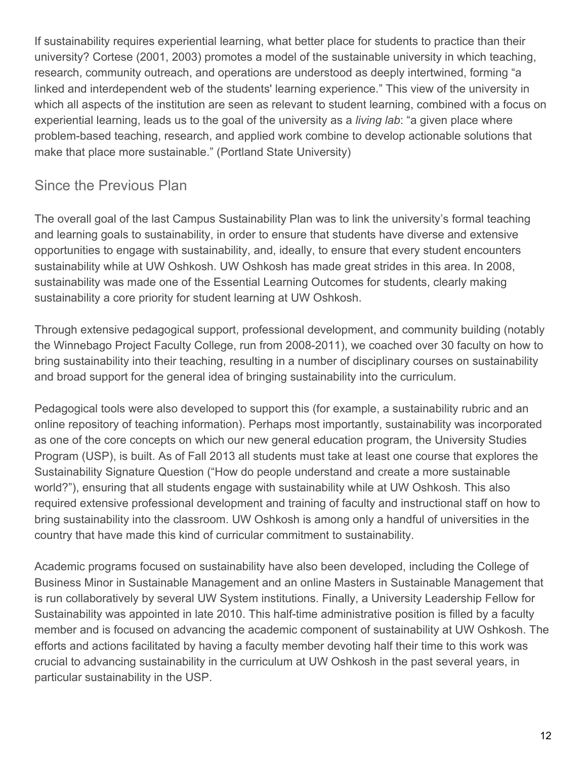If sustainability requires experiential learning, what better place for students to practice than their university? Cortese (2001, 2003) promotes a model of the sustainable university in which teaching, research, community outreach, and operations are understood as deeply intertwined, forming "a linked and interdependent web of the students' learning experience." This view of the university in which all aspects of the institution are seen as relevant to student learning, combined with a focus on experiential learning, leads us to the goal of the university as a *living lab*: "a given place where problem-based teaching, research, and applied work combine to develop actionable solutions that make that place more sustainable." (Portland State University)

# Since the Previous Plan

The overall goal of the last Campus Sustainability Plan was to link the university's formal teaching and learning goals to sustainability, in order to ensure that students have diverse and extensive opportunities to engage with sustainability, and, ideally, to ensure that every student encounters sustainability while at UW Oshkosh. UW Oshkosh has made great strides in this area. In 2008, sustainability was made one of the Essential Learning Outcomes for students, clearly making sustainability a core priority for student learning at UW Oshkosh.

Through extensive pedagogical support, professional development, and community building (notably the Winnebago Project Faculty College, run from 2008-2011), we coached over 30 faculty on how to bring sustainability into their teaching, resulting in a number of disciplinary courses on sustainability and broad support for the general idea of bringing sustainability into the curriculum.

Pedagogical tools were also developed to support this (for example, a sustainability rubric and an online repository of teaching information). Perhaps most importantly, sustainability was incorporated as one of the core concepts on which our new general education program, the University Studies Program (USP), is built. As of Fall 2013 all students must take at least one course that explores the Sustainability Signature Question ("How do people understand and create a more sustainable world?"), ensuring that all students engage with sustainability while at UW Oshkosh. This also required extensive professional development and training of faculty and instructional staff on how to bring sustainability into the classroom. UW Oshkosh is among only a handful of universities in the country that have made this kind of curricular commitment to sustainability.

Academic programs focused on sustainability have also been developed, including the College of Business Minor in Sustainable Management and an online Masters in Sustainable Management that is run collaboratively by several UW System institutions. Finally, a University Leadership Fellow for Sustainability was appointed in late 2010. This half-time administrative position is filled by a faculty member and is focused on advancing the academic component of sustainability at UW Oshkosh. The efforts and actions facilitated by having a faculty member devoting half their time to this work was crucial to advancing sustainability in the curriculum at UW Oshkosh in the past several years, in particular sustainability in the USP.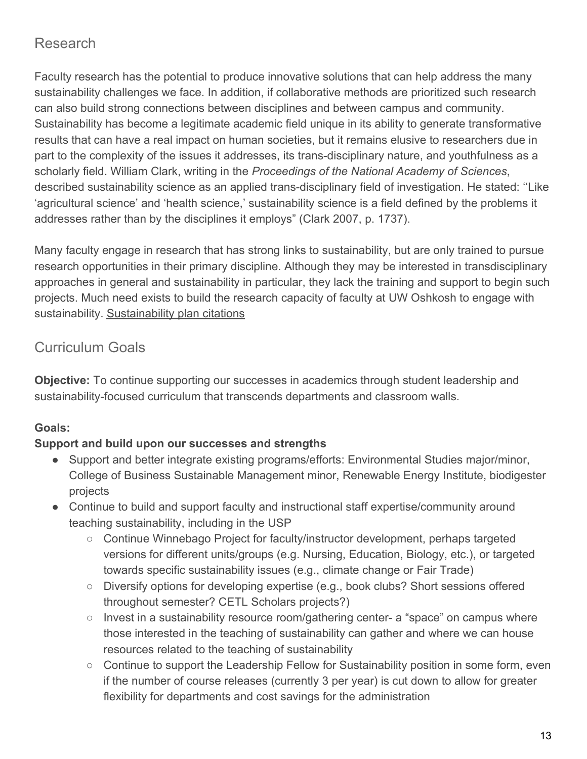# Research

Faculty research has the potential to produce innovative solutions that can help address the many sustainability challenges we face. In addition, if collaborative methods are prioritized such research can also build strong connections between disciplines and between campus and community. Sustainability has become a legitimate academic field unique in its ability to generate transformative results that can have a real impact on human societies, but it remains elusive to researchers due in part to the complexity of the issues it addresses, its trans-disciplinary nature, and youthfulness as a scholarly field. William Clark, writing in the *Proceedings of the National Academy of Sciences*, described sustainability science as an applied trans-disciplinary field of investigation. He stated: ''Like 'agricultural science' and 'health science,' sustainability science is a field defined by the problems it addresses rather than by the disciplines it employs" (Clark 2007, p. 1737).

Many faculty engage in research that has strong links to sustainability, but are only trained to pursue research opportunities in their primary discipline. Although they may be interested in transdisciplinary approaches in general and sustainability in particular, they lack the training and support to begin such projects. Much need exists to build the research capacity of faculty at UW Oshkosh to engage with sustainability. [Sustainability plan citations](http://www.uwosh.edu/srd/index.php/references/keyword/susplan)

# Curriculum Goals

**Objective:** To continue supporting our successes in academics through student leadership and sustainability-focused curriculum that transcends departments and classroom walls.

# **Goals:**

# **Support and build upon our successes and strengths**

- Support and better integrate existing programs/efforts: Environmental Studies major/minor, College of Business Sustainable Management minor, Renewable Energy Institute, biodigester projects
- Continue to build and support faculty and instructional staff expertise/community around teaching sustainability, including in the USP
	- Continue Winnebago Project for faculty/instructor development, perhaps targeted versions for different units/groups (e.g. Nursing, Education, Biology, etc.), or targeted towards specific sustainability issues (e.g., climate change or Fair Trade)
	- Diversify options for developing expertise (e.g., book clubs? Short sessions offered throughout semester? CETL Scholars projects?)
	- Invest in a sustainability resource room/gathering center- a "space" on campus where those interested in the teaching of sustainability can gather and where we can house resources related to the teaching of sustainability
	- Continue to support the Leadership Fellow for Sustainability position in some form, even if the number of course releases (currently 3 per year) is cut down to allow for greater flexibility for departments and cost savings for the administration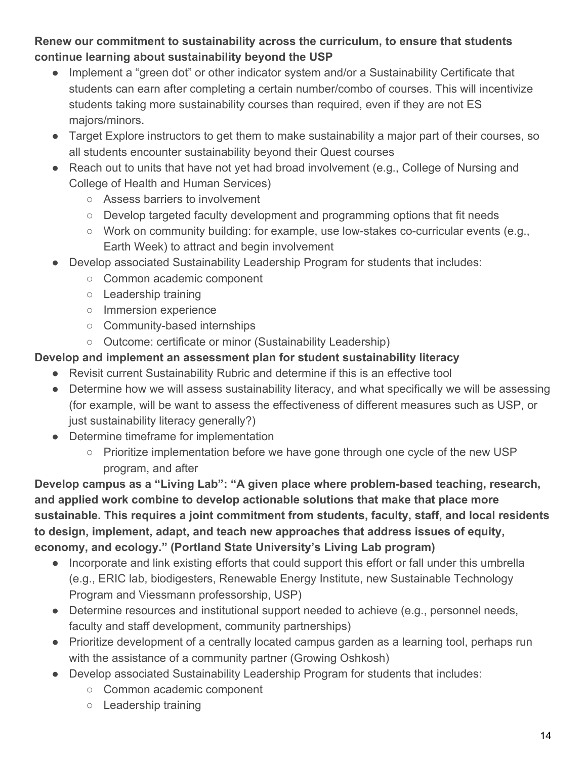**Renew our commitment to sustainability across the curriculum, to ensure that students continue learning about sustainability beyond the USP**

- Implement a "green dot" or other indicator system and/or a Sustainability Certificate that students can earn after completing a certain number/combo of courses. This will incentivize students taking more sustainability courses than required, even if they are not ES majors/minors.
- Target Explore instructors to get them to make sustainability a major part of their courses, so all students encounter sustainability beyond their Quest courses
- Reach out to units that have not yet had broad involvement (e.g., College of Nursing and College of Health and Human Services)
	- Assess barriers to involvement
	- Develop targeted faculty development and programming options that fit needs
	- Work on community building: for example, use low-stakes co-curricular events (e.g., Earth Week) to attract and begin involvement
- Develop associated Sustainability Leadership Program for students that includes:
	- Common academic component
	- Leadership training
	- Immersion experience
	- Community-based internships
	- Outcome: certificate or minor (Sustainability Leadership)

#### **Develop and implement an assessment plan for student sustainability literacy**

- Revisit current Sustainability Rubric and determine if this is an effective tool
- Determine how we will assess sustainability literacy, and what specifically we will be assessing (for example, will be want to assess the effectiveness of different measures such as USP, or just sustainability literacy generally?)
- Determine timeframe for implementation
	- Prioritize implementation before we have gone through one cycle of the new USP program, and after

**Develop campus as a "Living Lab": "A given place where problem-based teaching, research, and applied work combine to develop actionable solutions that make that place more sustainable. This requires a joint commitment from students, faculty, staff, and local residents to design, implement, adapt, and teach new approaches that address issues of equity, economy, and ecology." (Portland State University's Living Lab program)**

- Incorporate and link existing efforts that could support this effort or fall under this umbrella (e.g., ERIC lab, biodigesters, Renewable Energy Institute, new Sustainable Technology Program and Viessmann professorship, USP)
- Determine resources and institutional support needed to achieve (e.g., personnel needs, faculty and staff development, community partnerships)
- Prioritize development of a centrally located campus garden as a learning tool, perhaps run with the assistance of a community partner (Growing Oshkosh)
- Develop associated Sustainability Leadership Program for students that includes:
	- Common academic component
	- Leadership training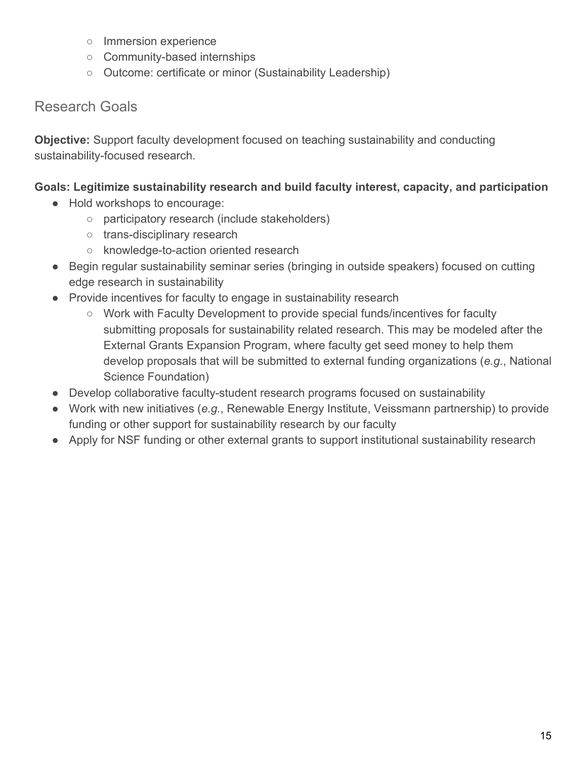- Immersion experience
- Community-based internships
- Outcome: certificate or minor (Sustainability Leadership)

# Research Goals

**Objective:** Support faculty development focused on teaching sustainability and conducting sustainability-focused research.

#### **Goals: Legitimize sustainability research and build faculty interest, capacity, and participation**

- Hold workshops to encourage:
	- participatory research (include stakeholders)
	- trans-disciplinary research
	- knowledge-to-action oriented research
- Begin regular sustainability seminar series (bringing in outside speakers) focused on cutting edge research in sustainability
- Provide incentives for faculty to engage in sustainability research
	- Work with Faculty Development to provide special funds/incentives for faculty submitting proposals for sustainability related research. This may be modeled after the External Grants Expansion Program, where faculty get seed money to help them develop proposals that will be submitted to external funding organizations (*e.g.*, National Science Foundation)
- Develop collaborative faculty-student research programs focused on sustainability
- Work with new initiatives (*e.g.*, Renewable Energy Institute, Veissmann partnership) to provide funding or other support for sustainability research by our faculty
- Apply for NSF funding or other external grants to support institutional sustainability research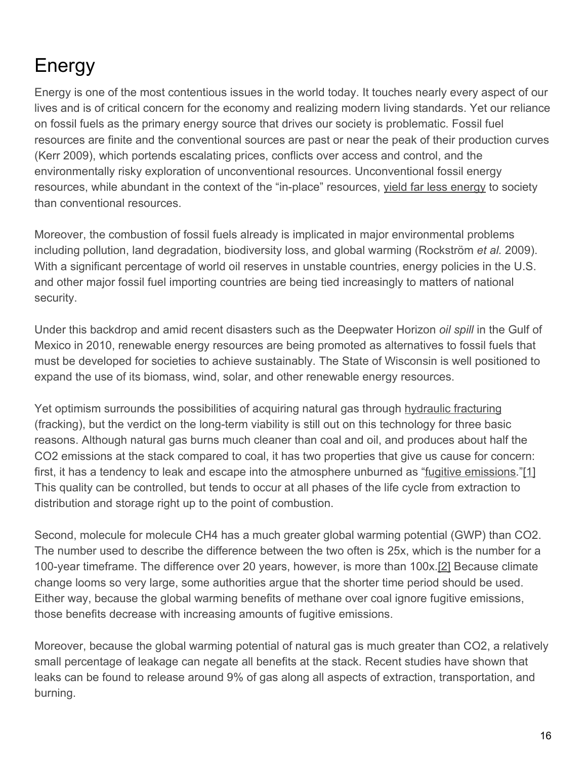# <span id="page-16-0"></span>Energy

Energy is one of the most contentious issues in the world today. It touches nearly every aspect of our lives and is of critical concern for the economy and realizing modern living standards. Yet our reliance on fossil fuels as the primary energy source that drives our society is problematic. Fossil fuel resources are finite and the conventional sources are past or near the peak of their production curves (Kerr 2009), which portends escalating prices, conflicts over access and control, and the environmentally risky exploration of unconventional resources. Unconventional fossil energy resources, while abundant in the context of the "in-place" resources, [yield far less energy](http://www.uwosh.edu/sustainability/understanding-sustainability/net-energy-energy-return-on-energy-investment-eroi) to society than conventional resources.

Moreover, the combustion of fossil fuels already is implicated in major environmental problems including pollution, land degradation, biodiversity loss, and global warming (Rockström *et al.* 2009). With a significant percentage of world oil reserves in unstable countries, energy policies in the U.S. and other major fossil fuel importing countries are being tied increasingly to matters of national security.

Under this backdrop and amid recent disasters such as the Deepwater Horizon *oil spill* in the Gulf of Mexico in 2010, renewable energy resources are being promoted as alternatives to fossil fuels that must be developed for societies to achieve sustainably. The State of Wisconsin is well positioned to expand the use of its biomass, wind, solar, and other renewable energy resources.

Yet optimism surrounds the possibilities of acquiring natural gas through [hydraulic fracturing](http://www.uwosh.edu/sustainability/understanding-sustainability/hydraulic-fracturing) (fracking), but the verdict on the long-term viability is still out on this technology for three basic reasons. Although natural gas burns much cleaner than coal and oil, and produces about half the CO2 emissions at the stack compared to coal, it has two properties that give us cause for concern: first, it has a tendency to leak and escape into the atmosphere unburned as ["fugitive emissions](http://www.uwosh.edu/sustainability/understanding-sustainability/fugitive-or-unburned-methane-emissions).["\[1\]](http://www.uwosh.edu/sustainability/csp-1/energy#_ftn1) This quality can be controlled, but tends to occur at all phases of the life cycle from extraction to distribution and storage right up to the point of combustion.

Second, molecule for molecule CH4 has a much greater global warming potential (GWP) than CO2. The number used to describe the difference between the two often is 25x, which is the number for a 100-year timeframe. The difference over 20 years, however, is more than 100x.[\[2\]](http://www.uwosh.edu/sustainability/csp-1/energy#_ftn2) Because climate change looms so very large, some authorities argue that the shorter time period should be used. Either way, because the global warming benefits of methane over coal ignore fugitive emissions, those benefits decrease with increasing amounts of fugitive emissions.

Moreover, because the global warming potential of natural gas is much greater than CO2, a relatively small percentage of leakage can negate all benefits at the stack. Recent studies have shown that leaks can be found to release around 9% of gas along all aspects of extraction, transportation, and burning.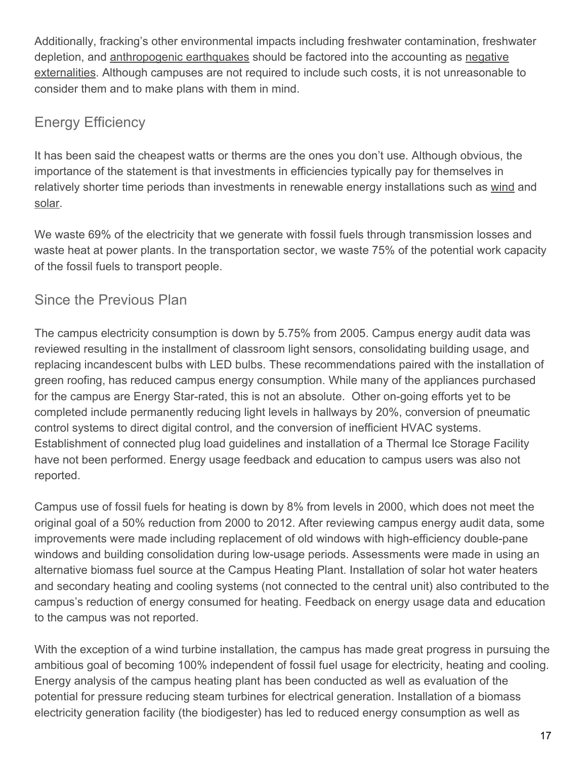Additionally, fracking's other environmental impacts including freshwater contamination, freshwater depletion, and [anthropogenic earthquakes](http://www.uwosh.edu/srd/index.php/references/keyword/HIQuakes) should be factored into the accounting as [negative](http://www.uwosh.edu/sustainability/understanding-sustainability/externalities) [externalities](http://www.uwosh.edu/sustainability/understanding-sustainability/externalities). Although campuses are not required to include such costs, it is not unreasonable to consider them and to make plans with them in mind.

# Energy Efficiency

It has been said the cheapest watts or therms are the ones you don't use. Although obvious, the importance of the statement is that investments in efficiencies typically pay for themselves in relatively shorter time periods than investments in renewable energy installations such as [wind](http://www.uwosh.edu/sustainability/understanding-sustainability/wind-energy) and [solar](http://www.uwosh.edu/sustainability/understanding-sustainability/solar).

We waste 69% of the electricity that we generate with fossil fuels through transmission losses and waste heat at power plants. In the transportation sector, we waste 75% of the potential work capacity of the fossil fuels to transport people.

# Since the Previous Plan

The campus electricity consumption is down by 5.75% from 2005. Campus energy audit data was reviewed resulting in the installment of classroom light sensors, consolidating building usage, and replacing incandescent bulbs with LED bulbs. These recommendations paired with the installation of green roofing, has reduced campus energy consumption. While many of the appliances purchased for the campus are Energy Star-rated, this is not an absolute. Other on-going efforts yet to be completed include permanently reducing light levels in hallways by 20%, conversion of pneumatic control systems to direct digital control, and the conversion of inefficient HVAC systems. Establishment of connected plug load guidelines and installation of a Thermal Ice Storage Facility have not been performed. Energy usage feedback and education to campus users was also not reported.

Campus use of fossil fuels for heating is down by 8% from levels in 2000, which does not meet the original goal of a 50% reduction from 2000 to 2012. After reviewing campus energy audit data, some improvements were made including replacement of old windows with high-efficiency double-pane windows and building consolidation during low-usage periods. Assessments were made in using an alternative biomass fuel source at the Campus Heating Plant. Installation of solar hot water heaters and secondary heating and cooling systems (not connected to the central unit) also contributed to the campus's reduction of energy consumed for heating. Feedback on energy usage data and education to the campus was not reported.

With the exception of a wind turbine installation, the campus has made great progress in pursuing the ambitious goal of becoming 100% independent of fossil fuel usage for electricity, heating and cooling. Energy analysis of the campus heating plant has been conducted as well as evaluation of the potential for pressure reducing steam turbines for electrical generation. Installation of a biomass electricity generation facility (the biodigester) has led to reduced energy consumption as well as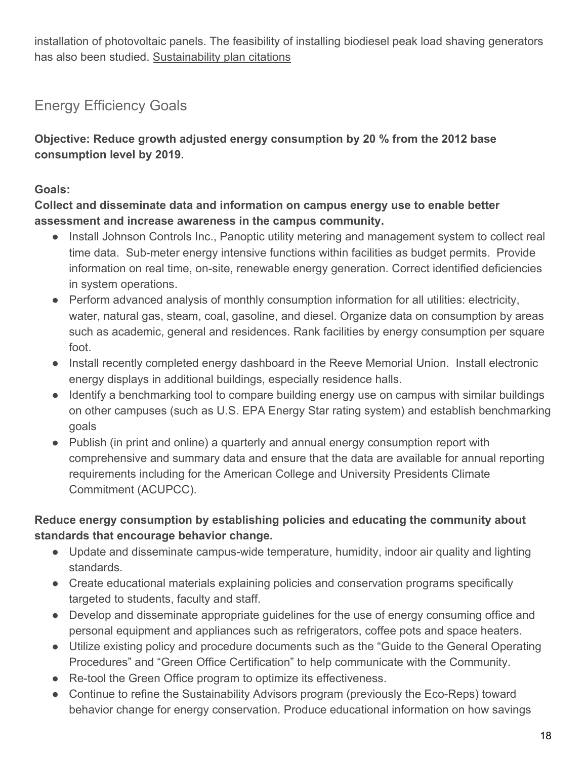installation of photovoltaic panels. The feasibility of installing biodiesel peak load shaving generators has also been studied. [Sustainability plan citations](http://www.uwosh.edu/srd/index.php/references/keyword/susplan)

# Energy Efficiency Goal[s](http://www.uwosh.edu/srd/index.php/references/keyword/susplan)

**[Objective: Reduce growth adjusted energy consumption by 20 % from the 2012 base](http://www.uwosh.edu/srd/index.php/references/keyword/susplan) [consumption level by 2019.](http://www.uwosh.edu/srd/index.php/references/keyword/susplan)**

#### **[Goals:](http://www.uwosh.edu/srd/index.php/references/keyword/susplan)**

**[Collect and disseminate data and information on campus energy use to enable better](http://www.uwosh.edu/srd/index.php/references/keyword/susplan) [assessment and increase awareness in the campus community.](http://www.uwosh.edu/srd/index.php/references/keyword/susplan)**

- [Install Johnson Controls Inc., Panoptic utility metering and management system to collect real](http://www.uwosh.edu/srd/index.php/references/keyword/susplan) [time data. Sub-meter energy intensive functions within facilities as budget permits. Provide](http://www.uwosh.edu/srd/index.php/references/keyword/susplan) [information on real time, on-site, renewable energy generation. Correct identified deficiencies](http://www.uwosh.edu/srd/index.php/references/keyword/susplan) [in system operations.](http://www.uwosh.edu/srd/index.php/references/keyword/susplan)
- [Perform advanced analysis of monthly consumption information for all utilities: electricity,](http://www.uwosh.edu/srd/index.php/references/keyword/susplan) [water, natural gas, steam, coal, gasoline, and diesel. Organize data on consumption by areas](http://www.uwosh.edu/srd/index.php/references/keyword/susplan) [such as academic, general and residences. Rank facilities by energy consumption per square](http://www.uwosh.edu/srd/index.php/references/keyword/susplan) [foot.](http://www.uwosh.edu/srd/index.php/references/keyword/susplan)
- [Install recently completed energy dashboard in the Reeve Memorial Union. Install electronic](http://www.uwosh.edu/srd/index.php/references/keyword/susplan) [energy displays in additional buildings, especially residence halls.](http://www.uwosh.edu/srd/index.php/references/keyword/susplan)
- [Identify a benchmarking tool to compare building energy use on campus with similar buildings](http://www.uwosh.edu/srd/index.php/references/keyword/susplan) [on other campuses \(such as U.S. EPA Energy Star rating system\) and establish benchmarking](http://www.uwosh.edu/srd/index.php/references/keyword/susplan) [goals](http://www.uwosh.edu/srd/index.php/references/keyword/susplan)
- [Publish \(in print and online\) a quarterly and annual energy consumption report with](http://www.uwosh.edu/srd/index.php/references/keyword/susplan) [comprehensive and summary data and ensure that the data are available for annual reporting](http://www.uwosh.edu/srd/index.php/references/keyword/susplan) [requirements including for the American College and University Presidents Climate](http://www.uwosh.edu/srd/index.php/references/keyword/susplan) [Commitment \(ACUPCC\).](http://www.uwosh.edu/srd/index.php/references/keyword/susplan)

#### **[Reduce energy consumption by establishing policies and educating the community about](http://www.uwosh.edu/srd/index.php/references/keyword/susplan) [standards that encourage behavior change.](http://www.uwosh.edu/srd/index.php/references/keyword/susplan)**

- [Update and disseminate campus-wide temperature, humidity, indoor air quality and lighting](http://www.uwosh.edu/srd/index.php/references/keyword/susplan) [standards.](http://www.uwosh.edu/srd/index.php/references/keyword/susplan)
- [Create educational materials explaining policies and conservation programs specifically](http://www.uwosh.edu/srd/index.php/references/keyword/susplan) [targeted to students, faculty and staff.](http://www.uwosh.edu/srd/index.php/references/keyword/susplan)
- [Develop and disseminate appropriate guidelines for the use of energy consuming office and](http://www.uwosh.edu/srd/index.php/references/keyword/susplan) [personal equipment and appliances such as refrigerators, coffee pots and space heaters.](http://www.uwosh.edu/srd/index.php/references/keyword/susplan)
- [Utilize existing policy and procedure documents such as the "Guide to the General Operating](http://www.uwosh.edu/srd/index.php/references/keyword/susplan) [Procedures" and "Green Office Certification" to help communicate with the Community.](http://www.uwosh.edu/srd/index.php/references/keyword/susplan)
- [Re-tool the Green Office program to optimize its effectiveness.](http://www.uwosh.edu/srd/index.php/references/keyword/susplan)
- [Continue to refine the](http://www.uwosh.edu/srd/index.php/references/keyword/susplan) [Sustainability Advisors program](http://www.uwosh.edu/sustainability/understanding-sustainability/campus-basics) [\(previously the Eco-Reps\) toward](http://www.uwosh.edu/srd/index.php/references/keyword/susplan) [behavior change for energy conservation. Produce educational information on how savings](http://www.uwosh.edu/srd/index.php/references/keyword/susplan)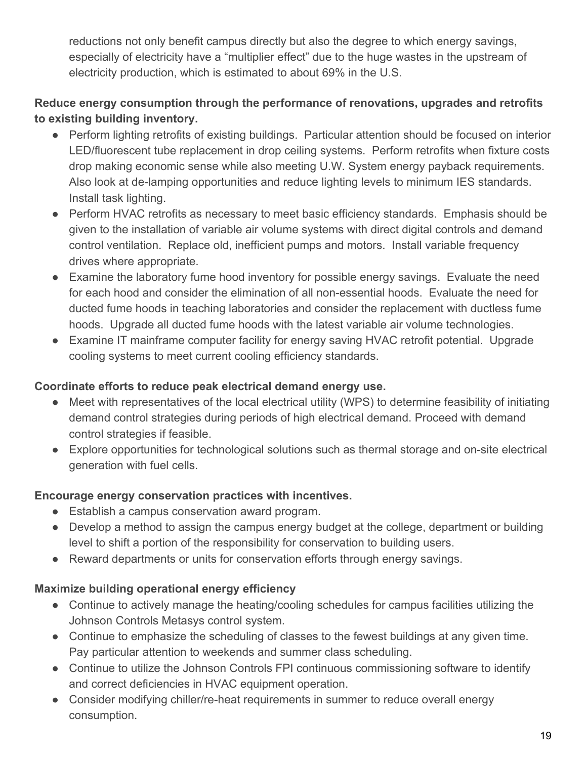[reductions not only benefit campus directly but also the degree to which energy savings,](http://www.uwosh.edu/srd/index.php/references/keyword/susplan) [especially of electricity have a "multiplier effect" due to the huge wastes in the upstream of](http://www.uwosh.edu/srd/index.php/references/keyword/susplan) [electricity production, which is estimated to about 69% in the U.S.](http://www.uwosh.edu/srd/index.php/references/keyword/susplan)

### **[Reduce energy consumption through the performance of renovations, upgrades and retrofits](http://www.uwosh.edu/srd/index.php/references/keyword/susplan) [to existing building inventory.](http://www.uwosh.edu/srd/index.php/references/keyword/susplan)**

- [Perform lighting retrofits of existing buildings. Particular attention should be focused on interior](http://www.uwosh.edu/srd/index.php/references/keyword/susplan) [LED/fluorescent tube replacement in drop ceiling systems. Perform retrofits when fixture costs](http://www.uwosh.edu/srd/index.php/references/keyword/susplan) [drop making economic sense while also meeting U.W. System energy payback requirements.](http://www.uwosh.edu/srd/index.php/references/keyword/susplan) [Also look at de-lamping opportunities and reduce lighting levels to minimum IES standards.](http://www.uwosh.edu/srd/index.php/references/keyword/susplan) [Install task lighting.](http://www.uwosh.edu/srd/index.php/references/keyword/susplan)
- [Perform HVAC retrofits as necessary to meet basic efficiency standards. Emphasis should be](http://www.uwosh.edu/srd/index.php/references/keyword/susplan) [given to the installation of variable air volume systems with direct digital controls and demand](http://www.uwosh.edu/srd/index.php/references/keyword/susplan) [control ventilation. Replace old, inefficient pumps and motors. Install variable frequency](http://www.uwosh.edu/srd/index.php/references/keyword/susplan) [drives where appropriate.](http://www.uwosh.edu/srd/index.php/references/keyword/susplan)
- [Examine the laboratory fume hood inventory for possible energy savings. Evaluate the need](http://www.uwosh.edu/srd/index.php/references/keyword/susplan) [for each hood and consider the elimination of all non-essential hoods. Evaluate the need for](http://www.uwosh.edu/srd/index.php/references/keyword/susplan) [ducted fume hoods in teaching laboratories and consider the replacement with ductless fume](http://www.uwosh.edu/srd/index.php/references/keyword/susplan) [hoods. Upgrade all ducted fume hoods with the latest variable air volume technologies.](http://www.uwosh.edu/srd/index.php/references/keyword/susplan)
- [Examine IT mainframe computer facility for energy saving HVAC retrofit potential. Upgrade](http://www.uwosh.edu/srd/index.php/references/keyword/susplan) [cooling systems to meet current cooling efficiency standards.](http://www.uwosh.edu/srd/index.php/references/keyword/susplan)

#### **[Coordinate efforts to reduce peak electrical demand energy use.](http://www.uwosh.edu/srd/index.php/references/keyword/susplan)**

- [Meet with representatives of the local electrical utility \(WPS\) to determine feasibility of initiating](http://www.uwosh.edu/srd/index.php/references/keyword/susplan) [demand control strategies during periods of high electrical demand. Proceed with demand](http://www.uwosh.edu/srd/index.php/references/keyword/susplan) [control strategies if feasible.](http://www.uwosh.edu/srd/index.php/references/keyword/susplan)
- [Explore opportunities for technological solutions such as thermal storage and on-site electrical](http://www.uwosh.edu/srd/index.php/references/keyword/susplan) [generation with fuel cells.](http://www.uwosh.edu/srd/index.php/references/keyword/susplan)

#### **[Encourage energy conservation practices with incentives.](http://www.uwosh.edu/srd/index.php/references/keyword/susplan)**

- [Establish a campus conservation award program.](http://www.uwosh.edu/srd/index.php/references/keyword/susplan)
- [Develop a method to assign the campus energy budget at the college, department or building](http://www.uwosh.edu/srd/index.php/references/keyword/susplan) [level to shift a portion of the responsibility for conservation to building users.](http://www.uwosh.edu/srd/index.php/references/keyword/susplan)
- [Reward departments or units for conservation efforts through energy savings.](http://www.uwosh.edu/srd/index.php/references/keyword/susplan)

# **[Maximize building operational energy efficiency](http://www.uwosh.edu/srd/index.php/references/keyword/susplan)**

- [Continue to actively manage the heating/cooling schedules for campus facilities utilizing the](http://www.uwosh.edu/srd/index.php/references/keyword/susplan) [Johnson Controls Metasys control system.](http://www.uwosh.edu/srd/index.php/references/keyword/susplan)
- [Continue to emphasize the scheduling of classes to the fewest buildings at any given time.](http://www.uwosh.edu/srd/index.php/references/keyword/susplan) [Pay particular attention to weekends and summer class scheduling.](http://www.uwosh.edu/srd/index.php/references/keyword/susplan)
- [Continue to utilize the Johnson Controls FPI continuous commissioning software to identify](http://www.uwosh.edu/srd/index.php/references/keyword/susplan) [and correct deficiencies in HVAC equipment operation.](http://www.uwosh.edu/srd/index.php/references/keyword/susplan)
- [Consider modifying chiller/re-heat requirements in summer to reduce overall energy](http://www.uwosh.edu/srd/index.php/references/keyword/susplan) [consumption.](http://www.uwosh.edu/srd/index.php/references/keyword/susplan)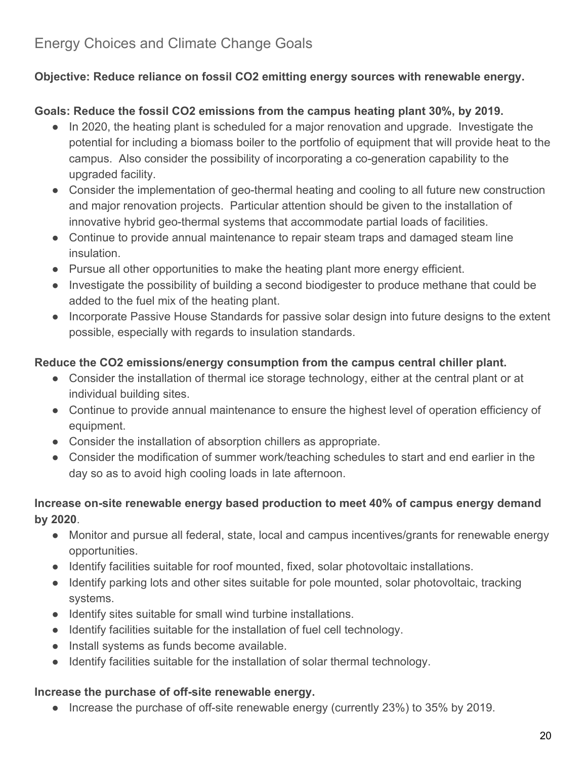# **[Objective: Reduce reliance on fossil CO2 emitting energy sources with renewable energy.](http://www.uwosh.edu/srd/index.php/references/keyword/susplan)**

# **[Goals:](http://www.uwosh.edu/srd/index.php/references/keyword/susplan) [Reduce the fossil CO2 emissions from the campus heating plant 30%, by 2019.](http://www.uwosh.edu/srd/index.php/references/keyword/susplan)**

- [In 2020, the heating plant is scheduled for a major renovation and upgrade. Investigate the](http://www.uwosh.edu/srd/index.php/references/keyword/susplan) [potential for including a biomass boiler to the portfolio of equipment that will provide heat to the](http://www.uwosh.edu/srd/index.php/references/keyword/susplan) [campus. Also consider the possibility of incorporating a co-generation capability to the](http://www.uwosh.edu/srd/index.php/references/keyword/susplan) [upgraded facility.](http://www.uwosh.edu/srd/index.php/references/keyword/susplan)
- [Consider the implementation of geo-thermal heating and cooling to all future new construction](http://www.uwosh.edu/srd/index.php/references/keyword/susplan) [and major renovation projects. Particular attention should be given to the installation of](http://www.uwosh.edu/srd/index.php/references/keyword/susplan) [innovative hybrid geo-thermal systems that accommodate partial loads of facilities.](http://www.uwosh.edu/srd/index.php/references/keyword/susplan)
- [Continue to provide annual maintenance to repair steam traps and damaged steam line](http://www.uwosh.edu/srd/index.php/references/keyword/susplan) [insulation.](http://www.uwosh.edu/srd/index.php/references/keyword/susplan)
- [Pursue all other opportunities to make the heating plant more energy efficient.](http://www.uwosh.edu/srd/index.php/references/keyword/susplan)
- [Investigate the possibility of building a second biodigester to produce methane that could be](http://www.uwosh.edu/srd/index.php/references/keyword/susplan) [added to the fuel mix of the heating plant.](http://www.uwosh.edu/srd/index.php/references/keyword/susplan)
- [Incorporate](http://www.uwosh.edu/srd/index.php/references/keyword/susplan) [Passive House](http://en.wikipedia.org/wiki/Passive_house) [Standards for passive solar design into future designs to the extent](http://www.uwosh.edu/srd/index.php/references/keyword/susplan) [possible, especially with regards to insulation standards.](http://www.uwosh.edu/srd/index.php/references/keyword/susplan)

#### **[Reduce the CO2 emissions/energy consumption from the campus central chiller plant.](http://www.uwosh.edu/srd/index.php/references/keyword/susplan)**

- [Consider the installation of](http://www.uwosh.edu/srd/index.php/references/keyword/susplan) [thermal ice storage](http://en.wikipedia.org/wiki/Thermal_energy_storage#Ice-based_technology) [technology, either at the central plant or at](http://www.uwosh.edu/srd/index.php/references/keyword/susplan) [individual building sites.](http://www.uwosh.edu/srd/index.php/references/keyword/susplan)
- [Continue to provide annual maintenance to ensure the highest level of operation efficiency of](http://www.uwosh.edu/srd/index.php/references/keyword/susplan) [equipment.](http://www.uwosh.edu/srd/index.php/references/keyword/susplan)
- [Consider the installation of absorption chillers as appropriate.](http://www.uwosh.edu/srd/index.php/references/keyword/susplan)
- [Consider the modification of summer work/teaching schedules to start and end earlier in the](http://www.uwosh.edu/srd/index.php/references/keyword/susplan) [day so as to avoid high cooling loads in late afternoon.](http://www.uwosh.edu/srd/index.php/references/keyword/susplan)

#### **[Increase on-site renewable energy based production to meet 40% of campus energy demand](http://www.uwosh.edu/srd/index.php/references/keyword/susplan) [by 2020](http://www.uwosh.edu/srd/index.php/references/keyword/susplan)**[.](http://www.uwosh.edu/srd/index.php/references/keyword/susplan)

- [Monitor and pursue all federal, state, local and campus incentives/grants for renewable energy](http://www.uwosh.edu/srd/index.php/references/keyword/susplan) [opportunities.](http://www.uwosh.edu/srd/index.php/references/keyword/susplan)
- [Identify facilities suitable for roof mounted, fixed, solar photovoltaic installations.](http://www.uwosh.edu/srd/index.php/references/keyword/susplan)
- [Identify parking lots and other sites suitable for pole mounted, solar photovoltaic, tracking](http://www.uwosh.edu/srd/index.php/references/keyword/susplan) [systems.](http://www.uwosh.edu/srd/index.php/references/keyword/susplan)
- [Identify sites suitable for small wind turbine installations.](http://www.uwosh.edu/srd/index.php/references/keyword/susplan)
- [Identify facilities suitable for the installation of fuel cell technology.](http://www.uwosh.edu/srd/index.php/references/keyword/susplan)
- [Install systems as funds become available.](http://www.uwosh.edu/srd/index.php/references/keyword/susplan)
- [Identify facilities suitable for the installation of solar thermal technology.](http://www.uwosh.edu/srd/index.php/references/keyword/susplan)

#### **[Increase the purchase of off-site renewable energy.](http://www.uwosh.edu/srd/index.php/references/keyword/susplan)**

● [Increase the purchase of off-site renewable energy \(currently 23%\) to 35% by 2019.](http://www.uwosh.edu/srd/index.php/references/keyword/susplan)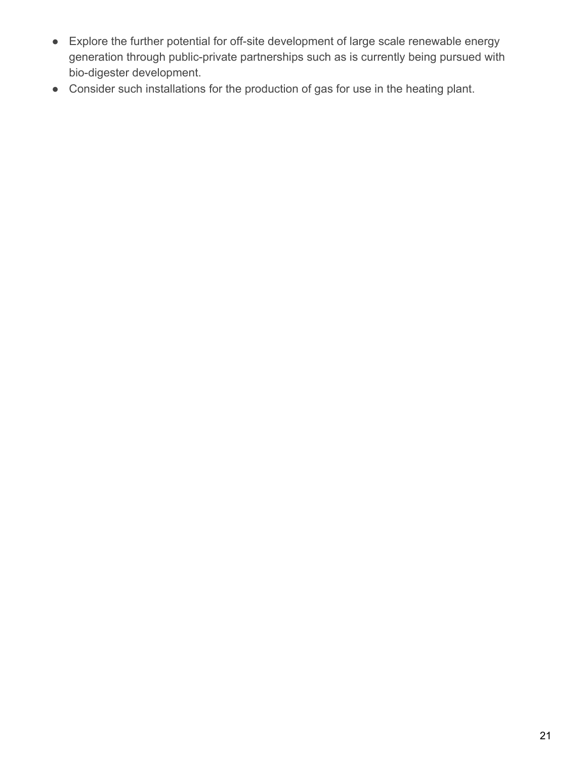- [Explore the further potential for off-site development of large scale renewable energy](http://www.uwosh.edu/srd/index.php/references/keyword/susplan) [generation through public-private partnerships such as is currently being pursued with](http://www.uwosh.edu/srd/index.php/references/keyword/susplan) [bio-digester development](http://www.uwosh.edu/biodigester)[.](http://www.uwosh.edu/srd/index.php/references/keyword/susplan)
- [Consider such installations for the production of gas for use in the heating plant.](http://www.uwosh.edu/srd/index.php/references/keyword/susplan)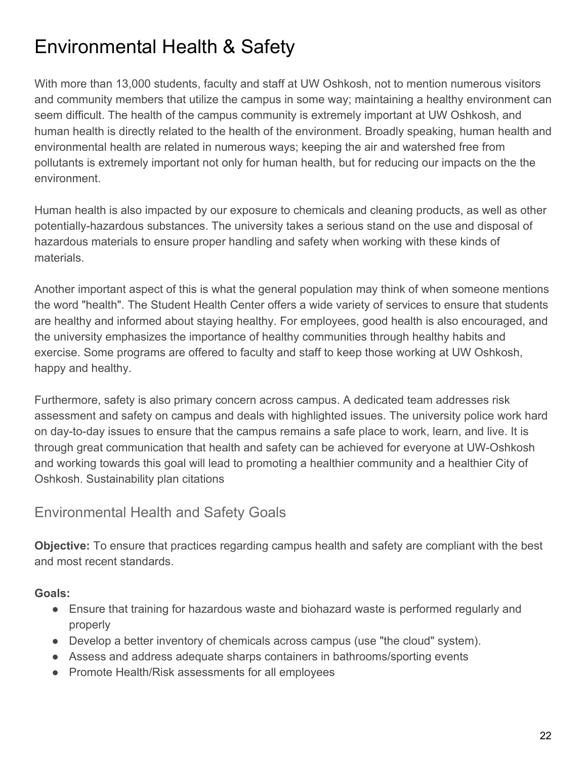# <span id="page-22-0"></span>Environmental Health & Safety

With more than 13,000 students, faculty and staff at UW Oshkosh, not to mention numerous visitors and community members that utilize the campus in some way; maintaining a healthy environment can seem difficult. The health of the campus community is extremely important at UW Oshkosh, and human health is directly related to the health of the environment. Broadly speaking, human health and environmental health are related in numerous ways; keeping the air and watershed free from pollutants is extremely important not only for human health, but for reducing our impacts on the the environment.

Human health is also impacted by our exposure to chemicals and cleaning products, as well as other potentially-hazardous substances. The university takes a serious stand on the use and disposal of hazardous materials to ensure proper handling and safety when working with these kinds of materials.

Another important aspect of this is what the general population may think of when someone mentions the word "health". The Student Health Center offers a wide variety of services to ensure that students are healthy and informed about staying healthy. For employees, good health is also encouraged, and the university emphasizes the importance of healthy communities through healthy habits and exercise. Some programs are offered to faculty and staff to keep those working at UW Oshkosh, happy and healthy.

Furthermore, safety is also primary concern across campus. A dedicated team addresses risk assessment and safety on campus and deals with highlighted issues. The university police work hard on day-to-day issues to ensure that the campus remains a safe place to work, learn, and live. It is through great communication that health and safety can be achieved for everyone at UW-Oshkosh and working towards this goal will lead to promoting a healthier community and a healthier City of Oshkosh. [Sustainability plan citations](http://www.uwosh.edu/srd/index.php/references/keyword/susplan)

# Environmental Health and Safety Goals

**Objective:** To ensure that practices regarding campus health and safety are compliant with the best and most recent standards.

**Goals:**

- Ensure that training for hazardous waste and biohazard waste is performed regularly and properly
- Develop a better inventory of chemicals across campus (use "the cloud" system).
- Assess and address adequate sharps containers in bathrooms/sporting events
- Promote Health/Risk assessments for all employees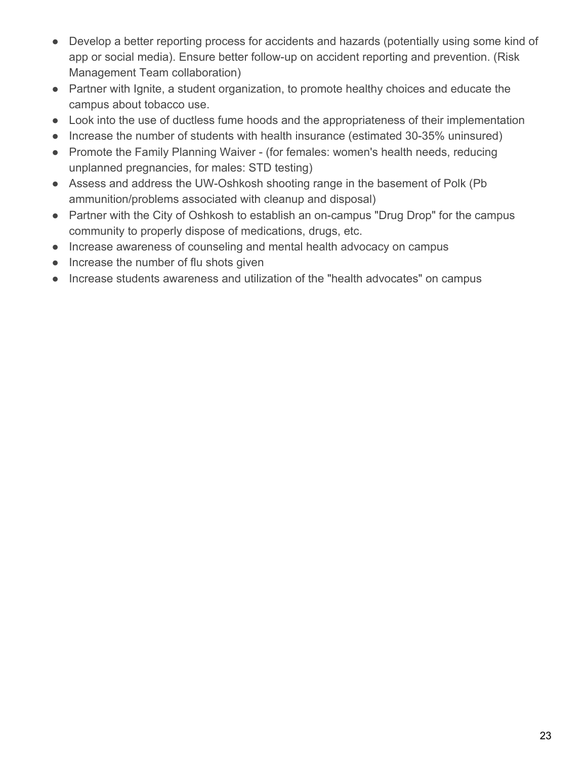- Develop a better reporting process for accidents and hazards (potentially using some kind of app or social media). Ensure better follow-up on accident reporting and prevention. (Risk Management Team collaboration)
- Partner with Ignite, a student organization, to promote healthy choices and educate the campus about tobacco use.
- Look into the use of ductless fume hoods and the appropriateness of their implementation
- Increase the number of students with health insurance (estimated 30-35% uninsured)
- Promote the Family Planning Waiver (for females: women's health needs, reducing unplanned pregnancies, for males: STD testing)
- Assess and address the UW-Oshkosh shooting range in the basement of Polk (Pb) ammunition/problems associated with cleanup and disposal)
- Partner with the City of Oshkosh to establish an on-campus "Drug Drop" for the campus community to properly dispose of medications, drugs, etc.
- Increase awareness of counseling and mental health advocacy on campus
- Increase the number of flu shots given
- Increase students awareness and utilization of the "health advocates" on campus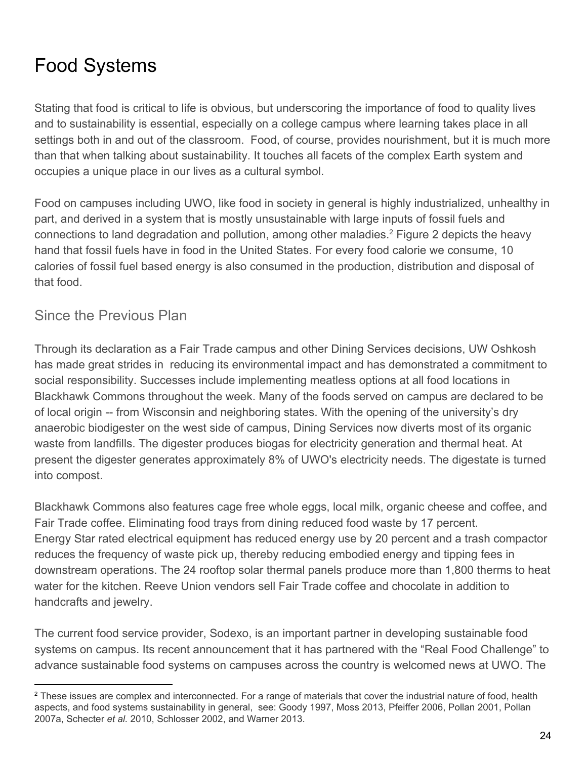# <span id="page-24-0"></span>Food Systems

Stating that food is critical to life is obvious, but underscoring the importance of food to quality lives and to sustainability is essential, especially on a college campus where learning takes place in all settings both in and out of the classroom. Food, of course, provides nourishment, but it is much more than that when talking about sustainability. It touches all facets of the complex Earth system and occupies a unique place in our lives as a cultural symbol.

Food on campuses including UWO, like food in society in general is highly industrialized, unhealthy in part, and derived in a system that is mostly unsustainable with large inputs of fossil fuels and connections to land degradation and pollution, among other maladies.<sup>2</sup> Figure 2 depicts the heavy hand that fossil fuels have in food in the United States. For every food calorie we consume, 10 calories of fossil fuel based energy is also consumed in the production, distribution and disposal of that food.

# Since the Previous Plan

Through its declaration as a Fair Trade campus and other Dining Services decisions, UW Oshkosh has made great strides in reducing its environmental impact and has demonstrated a commitment to social responsibility. Successes include implementing meatless options at all food locations in Blackhawk Commons throughout the week. Many of the foods served on campus are declared to be of local origin -- from Wisconsin and neighboring states. With the opening of the university's dry anaerobic biodigester on the west side of campus, Dining Services now diverts most of its organic waste from landfills. The digester produces biogas for electricity generation and thermal heat. At present the digester generates approximately 8% of UWO's electricity needs. The digestate is turned into compost.

Blackhawk Commons also features cage free whole eggs, local milk, organic cheese and coffee, and Fair Trade coffee. Eliminating food trays from dining reduced food waste by 17 percent. Energy Star rated electrical equipment has reduced energy use by 20 percent and a trash compactor reduces the frequency of waste pick up, thereby reducing embodied energy and tipping fees in downstream operations. The 24 rooftop solar thermal panels produce more than 1,800 therms to heat water for the kitchen. Reeve Union vendors sell Fair Trade coffee and chocolate in addition to handcrafts and jewelry.

The current food service provider, Sodexo, is an important partner in developing sustainable food systems on campus. Its recent announcement that it has partnered with the "Real Food Challenge" to advance sustainable food systems on campuses across the country is welcomed news at UWO. The

<sup>&</sup>lt;sup>2</sup> These issues are complex and interconnected. For a range of materials that cover the industrial nature of food, health aspects, and food systems sustainability in general, see: Goody 1997, Moss 2013, Pfeiffer 2006, Pollan 2001, Pollan 2007a, Schecter *et al.* 2010, Schlosser 2002, and Warner 2013.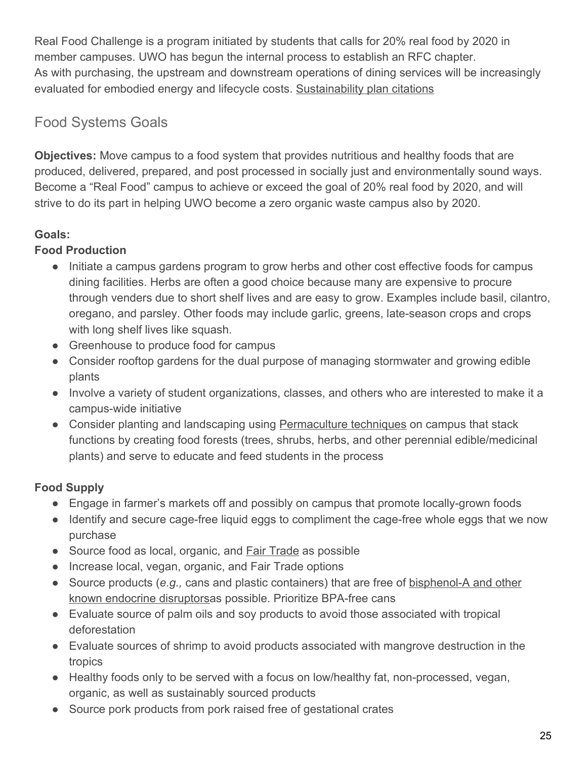Real Food Challenge is a program initiated by students that calls for 20% real food by 2020 in member campuses. UWO has begun the internal process to establish an RFC chapter. As with purchasing, the upstream and downstream operations of dining services will be increasingly evaluated for embodied energy and lifecycle costs. [Sustainability plan citations](http://www.uwosh.edu/srd/index.php/references/keyword/susplan)

# Food Systems Goals

**Objectives:** Move campus to a food system that provides nutritious and healthy foods that are produced, delivered, prepared, and post processed in socially just and environmentally sound ways. Become a "Real Food" campus to achieve or exceed the goal of 20% real food by 2020, and will strive to do its part in helping UWO become a zero organic waste campus also by 2020.

# **Goals:**

# **Food Production**

- Initiate a campus gardens program to grow herbs and other cost effective foods for campus dining facilities. Herbs are often a good choice because many are expensive to procure through venders due to short shelf lives and are easy to grow. Examples include basil, cilantro, oregano, and parsley. Other foods may include garlic, greens, late-season crops and crops with long shelf lives like squash.
- Greenhouse to produce food for campus
- Consider rooftop gardens for the dual purpose of managing stormwater and growing edible plants
- Involve a variety of student organizations, classes, and others who are interested to make it a campus-wide initiative
- Consider planting and landscaping using [Permaculture techniques](http://www.uwosh.edu/sustainability/understanding-sustainability/permaculture) on campus that stack functions by creating food forests (trees, shrubs, herbs, and other perennial edible/medicinal plants) and serve to educate and feed students in the process

# **Food Supply**

- Engage in farmer's markets off and possibly on campus that promote locally-grown foods
- Identify and secure cage-free liquid eggs to compliment the cage-free whole eggs that we now purchase
- Source food as local, organic, and [Fair Trade](http://www.uwosh.edu/sustainability/understanding-sustainability/fair-trade) as possible
- Increase local, vegan, organic, and Fair Trade options
- Source products (*e.g.,* cans and plastic containers) that are free of [bisphenol-A and other](http://www.uwosh.edu/sustainability/understanding-sustainability/bpa-and-other-hormone-disruptors) [known endocrine disruptorsa](http://www.uwosh.edu/sustainability/understanding-sustainability/bpa-and-other-hormone-disruptors)s possible. Prioritize BPA-free cans
- Evaluate source of palm oils and soy products to avoid those associated with tropical deforestation
- Evaluate sources of shrimp to avoid products associated with mangrove destruction in the tropics
- Healthy foods only to be served with a focus on low/healthy fat, non-processed, vegan, organic, as well as sustainably sourced products
- Source pork products from pork raised free of gestational crates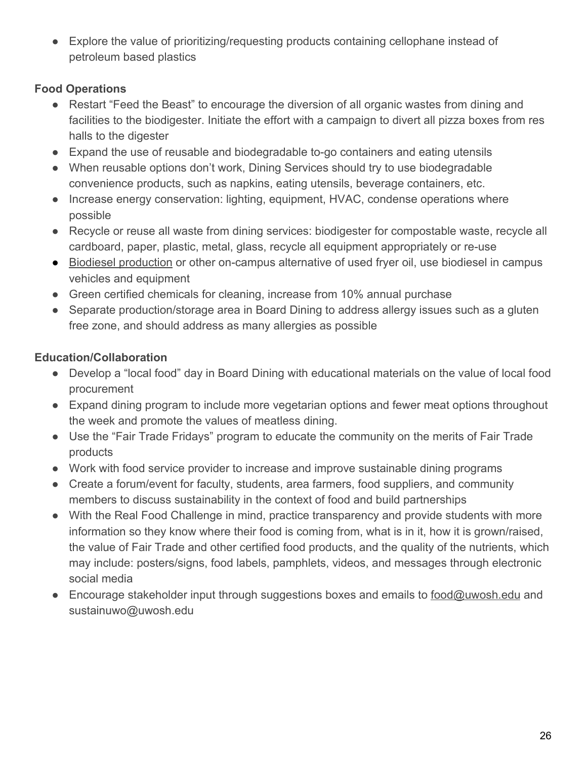● Explore the value of prioritizing/requesting products containing cellophane instead of petroleum based plastics

### **Food Operations**

- Restart "Feed the Beast" to encourage the diversion of all organic wastes from dining and facilities to the biodigester. Initiate the effort with a campaign to divert all pizza boxes from res halls to the digester
- Expand the use of reusable and biodegradable to-go containers and eating utensils
- When reusable options don't work, Dining Services should try to use biodegradable convenience products, such as napkins, eating utensils, beverage containers, etc.
- Increase energy conservation: lighting, equipment, HVAC, condense operations where possible
- Recycle or reuse all waste from dining services: biodigester for compostable waste, recycle all cardboard, paper, plastic, metal, glass, recycle all equipment appropriately or re-use
- [Biodiesel production](http://www.uwosh.edu/sustainability/understanding-sustainability/biodiesel) or other on-campus alternative of used fryer oil, use biodiesel in campus vehicles and equipment
- Green certified chemicals for cleaning, increase from 10% annual purchase
- Separate production/storage area in Board Dining to address allergy issues such as a gluten free zone, and should address as many allergies as possible

# **Education/Collaboration**

- Develop a "local food" day in Board Dining with educational materials on the value of local food procurement
- Expand dining program to include more vegetarian options and fewer meat options throughout the week and promote the values of meatless dining.
- Use the "Fair Trade Fridays" program to educate the community on the merits of Fair Trade products
- Work with food service provider to increase and improve sustainable dining programs
- Create a forum/event for faculty, students, area farmers, food suppliers, and community members to discuss sustainability in the context of food and build partnerships
- With the Real Food Challenge in mind, practice transparency and provide students with more information so they know where their food is coming from, what is in it, how it is grown/raised, the value of Fair Trade and other certified food products, and the quality of the nutrients, which may include: posters/signs, food labels, pamphlets, videos, and messages through electronic social media
- Encourage stakeholder input through suggestions boxes and emails to [food@uwosh.edu](mailto:food@uwosh.edu) and sustainuwo@uwosh.edu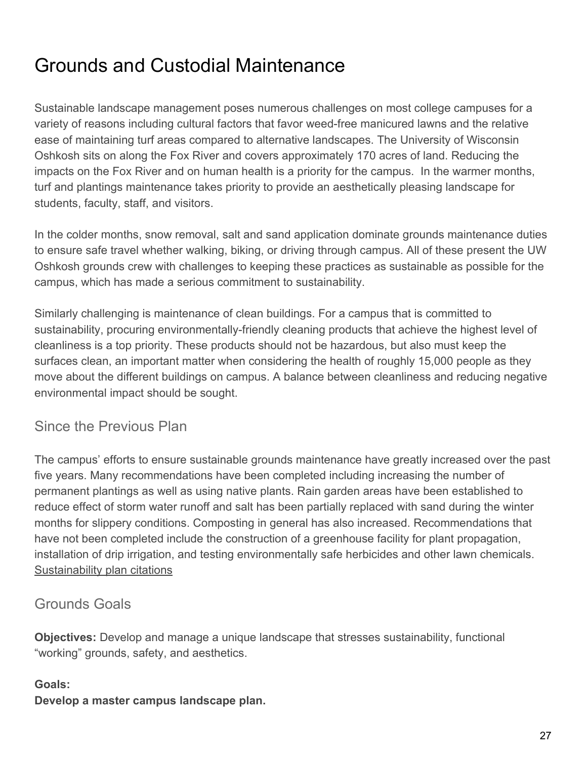# <span id="page-27-0"></span>Grounds and Custodial Maintenance

Sustainable landscape management poses numerous challenges on most college campuses for a variety of reasons including cultural factors that favor weed-free manicured lawns and the relative ease of maintaining turf areas compared to alternative landscapes. The University of Wisconsin Oshkosh sits on along the Fox River and covers approximately 170 acres of land. Reducing the impacts on the Fox River and on human health is a priority for the campus. In the warmer months, turf and plantings maintenance takes priority to provide an aesthetically pleasing landscape for students, faculty, staff, and visitors.

In the colder months, snow removal, salt and sand application dominate grounds maintenance duties to ensure safe travel whether walking, biking, or driving through campus. All of these present the UW Oshkosh grounds crew with challenges to keeping these practices as sustainable as possible for the campus, which has made a serious commitment to sustainability.

Similarly challenging is maintenance of clean buildings. For a campus that is committed to sustainability, procuring environmentally-friendly cleaning products that achieve the highest level of cleanliness is a top priority. These products should not be hazardous, but also must keep the surfaces clean, an important matter when considering the health of roughly 15,000 people as they move about the different buildings on campus. A balance between cleanliness and reducing negative environmental impact should be sought.

# Since the Previous Plan

The campus' efforts to ensure sustainable grounds maintenance have greatly increased over the past five years. Many recommendations have been completed including increasing the number of permanent plantings as well as using native plants. Rain garden areas have been established to reduce effect of storm water runoff and salt has been partially replaced with sand during the winter months for slippery conditions. Composting in general has also increased. Recommendations that have not been completed include the construction of a greenhouse facility for plant propagation, installation of drip irrigation, and testing environmentally safe herbicides and other lawn chemicals. [Sustainability plan citations](http://www.uwosh.edu/srd/index.php/references/keyword/susplan)

# Grounds Goals

**Objectives:** Develop and manage a unique landscape that stresses sustainability, functional "working" grounds, safety, and aesthetics.

#### **Goals:**

**Develop a master campus landscape plan.**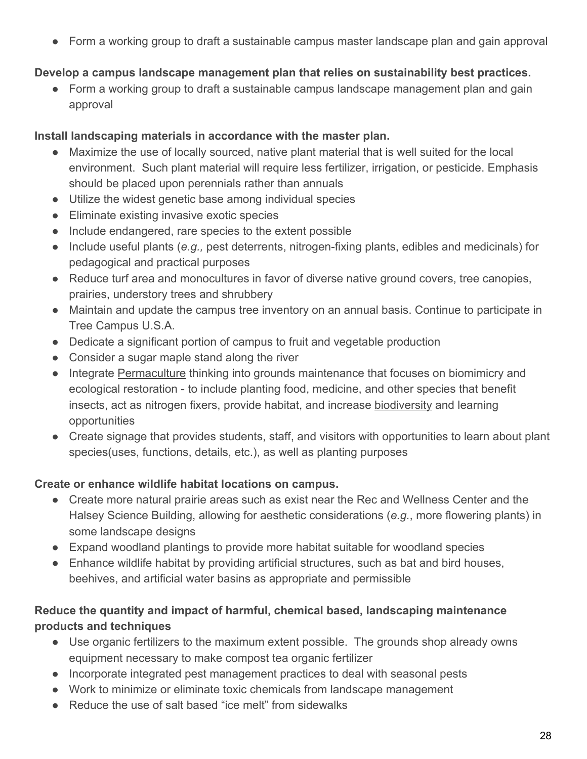● Form a working group to draft a sustainable campus master landscape plan and gain approval

#### **Develop a campus landscape management plan that relies on sustainability best practices.**

● Form a working group to draft a sustainable campus landscape management plan and gain approval

#### **Install landscaping materials in accordance with the master plan.**

- Maximize the use of locally sourced, native plant material that is well suited for the local environment. Such plant material will require less fertilizer, irrigation, or pesticide. Emphasis should be placed upon perennials rather than annuals
- Utilize the widest genetic base among individual species
- Eliminate existing invasive exotic species
- Include endangered, rare species to the extent possible
- Include useful plants (*e.g.,* pest deterrents, nitrogen-fixing plants, edibles and medicinals) for pedagogical and practical purposes
- Reduce turf area and monocultures in favor of diverse native ground covers, tree canopies, prairies, understory trees and shrubbery
- Maintain and update the campus tree inventory on an annual basis. Continue to participate in Tree Campus U.S.A.
- Dedicate a significant portion of campus to fruit and vegetable production
- Consider a sugar maple stand along the river
- Integrate [Permaculture](http://www.uwosh.edu/sustainability/resources/teaching-resources/understanding-sustainability-1/permaculture) thinking into grounds maintenance that focuses on biomimicry and ecological restoration - to include planting food, medicine, and other species that benefit insects, act as nitrogen fixers, provide habitat, and increase [biodiversity](http://www.uwosh.edu/sustainability/resources/teaching-resources/understanding-sustainability-1/biodiversity-loss) and learning opportunities
- Create signage that provides students, staff, and visitors with opportunities to learn about plant species(uses, functions, details, etc.), as well as planting purposes

#### **Create or enhance wildlife habitat locations on campus.**

- Create more natural prairie areas such as exist near the Rec and Wellness Center and the Halsey Science Building, allowing for aesthetic considerations (*e.g.*, more flowering plants) in some landscape designs
- Expand woodland plantings to provide more habitat suitable for woodland species
- Enhance wildlife habitat by providing artificial structures, such as bat and bird houses, beehives, and artificial water basins as appropriate and permissible

#### **Reduce the quantity and impact of harmful, chemical based, landscaping maintenance products and techniques**

- Use organic fertilizers to the maximum extent possible. The grounds shop already owns equipment necessary to make compost tea organic fertilizer
- Incorporate integrated pest management practices to deal with seasonal pests
- Work to minimize or eliminate toxic chemicals from landscape management
- Reduce the use of salt based "ice melt" from sidewalks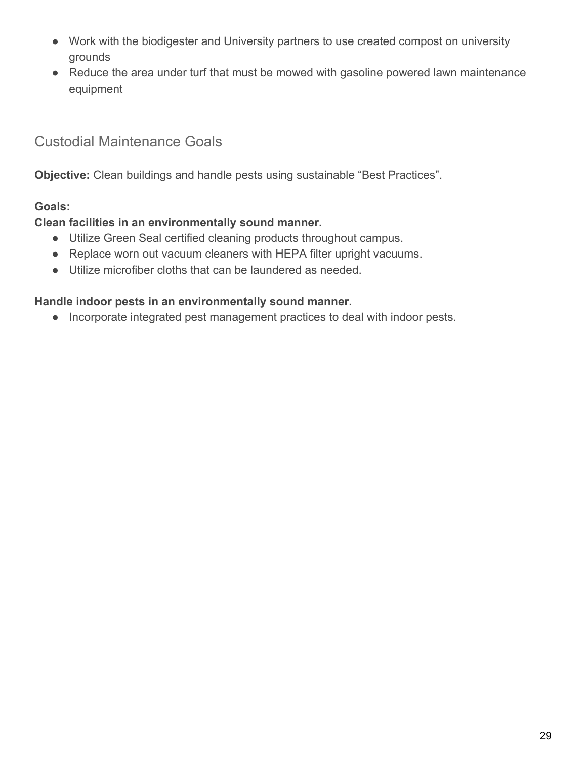- Work with the biodigester and University partners to use created compost on university grounds
- Reduce the area under turf that must be mowed with gasoline powered lawn maintenance equipment

# Custodial Maintenance Goals

**Objective:** Clean buildings and handle pests using sustainable "Best Practices".

#### **Goals:**

#### **Clean facilities in an environmentally sound manner.**

- Utilize Green Seal certified cleaning products throughout campus.
- Replace worn out vacuum cleaners with HEPA filter upright vacuums.
- Utilize microfiber cloths that can be laundered as needed.

#### **Handle indoor pests in an environmentally sound manner.**

● Incorporate integrated pest management practices to deal with indoor pests.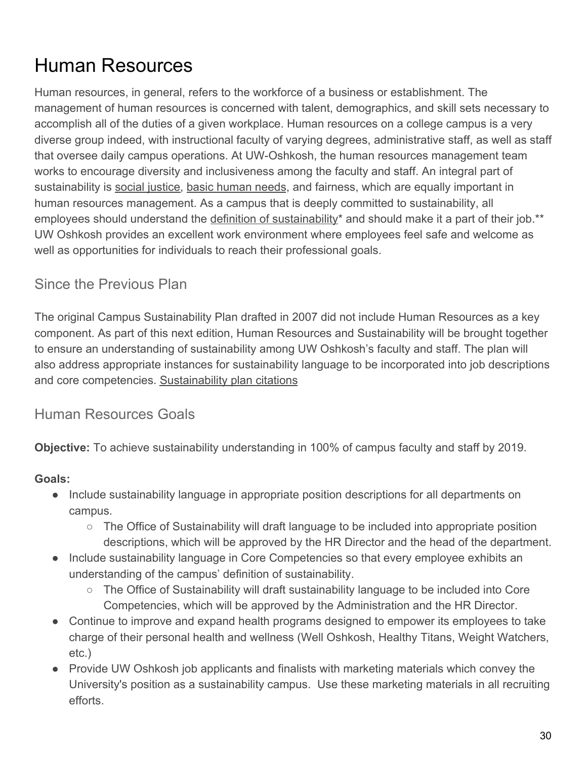# <span id="page-30-0"></span>Human Resources

Human resources, in general, refers to the workforce of a business or establishment. The management of human resources is concerned with talent, demographics, and skill sets necessary to accomplish all of the duties of a given workplace. Human resources on a college campus is a very diverse group indeed, with instructional faculty of varying degrees, administrative staff, as well as staff that oversee daily campus operations. At UW-Oshkosh, the human resources management team works to encourage diversity and inclusiveness among the faculty and staff. An integral part of sustainability is [social justice](http://www.uwosh.edu/sustainability/resources/teaching-resources/understanding-sustainability-1/social-justice), [basic human needs](http://www.uwosh.edu/sustainability/resources/teaching-resources/understanding-sustainability-1/basic-human-needs), and fairness, which are equally important in human resources management. As a campus that is deeply committed to sustainability, all employees should understand the [definition of sustainability](http://www.uwosh.edu/sustainability/resources/teaching-resources/understanding-sustainability-1/defining-sustainability)\* and should make it a part of their job.\*\* UW Oshkosh provides an excellent work environment where employees feel safe and welcome as well as opportunities for individuals to reach their professional goals.

# Since the Previous Plan

The original Campus Sustainability Plan drafted in 2007 did not include Human Resources as a key component. As part of this next edition, Human Resources and Sustainability will be brought together to ensure an understanding of sustainability among UW Oshkosh's faculty and staff. The plan will also address appropriate instances for sustainability language to be incorporated into job descriptions and core competencies. [Sustainability plan citations](http://www.uwosh.edu/srd/index.php/references/keyword/susplan)

# Human Resources Goals

**Objective:** To achieve sustainability understanding in 100% of campus faculty and staff by 2019.

# **Goals:**

- Include sustainability language in appropriate position descriptions for all departments on campus.
	- The Office of Sustainability will draft language to be included into appropriate position descriptions, which will be approved by the HR Director and the head of the department.
- Include sustainability language in Core Competencies so that every employee exhibits an understanding of the campus' definition of sustainability.
	- The Office of Sustainability will draft sustainability language to be included into Core Competencies, which will be approved by the Administration and the HR Director.
- Continue to improve and expand health programs designed to empower its employees to take charge of their personal health and wellness (Well Oshkosh, Healthy Titans, Weight Watchers, etc.)
- Provide UW Oshkosh job applicants and finalists with marketing materials which convey the University's position as a sustainability campus. Use these marketing materials in all recruiting efforts.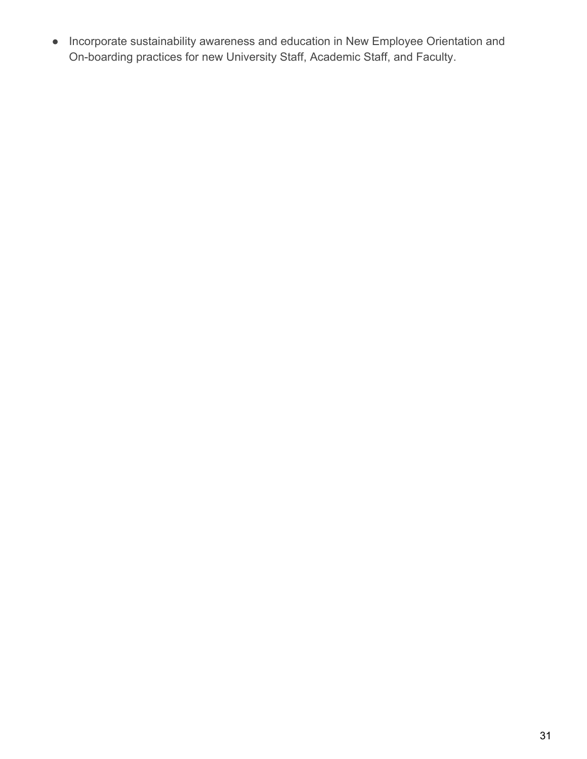● Incorporate sustainability awareness and education in New Employee Orientation and On-boarding practices for new University Staff, Academic Staff, and Faculty.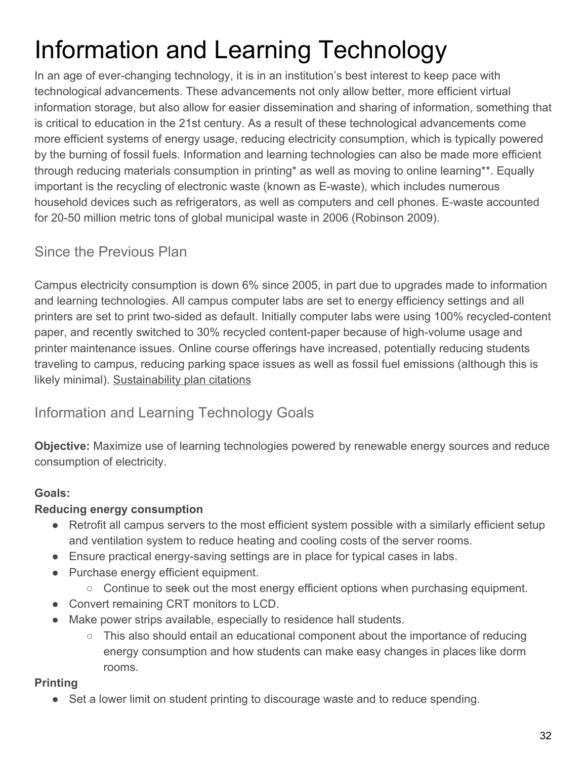# Information and Learning Technology

In an age of ever-changing technology, it is in an institution's best interest to keep pace with technological advancements. These advancements not only allow better, more efficient virtual information storage, but also allow for easier dissemination and sharing of information, something that is critical to education in the 21st century. As a result of these technological advancements come more efficient systems of energy usage, reducing electricity consumption, which is typically powered by the burning of fossil fuels. Information and learning technologies can also be made more efficient through reducing materials consumption in printing\* as well as moving to online learning\*\*. Equally important is the recycling of electronic waste (known as E-waste), which includes numerous household devices such as refrigerators, as well as computers and cell phones. E-waste accounted for 20-50 million metric tons of global municipal waste in 2006 (Robinson 2009).

# Since the Previous Plan

Campus electricity consumption is down 6% since 2005, in part due to upgrades made to information and learning technologies. All campus computer labs are set to energy efficiency settings and all printers are set to print two-sided as default. Initially computer labs were using 100% recycled-content paper, and recently switched to 30% recycled content-paper because of high-volume usage and printer maintenance issues. Online course offerings have increased, potentially reducing students traveling to campus, reducing parking space issues as well as fossil fuel emissions (although this is likely minimal). [Sustainability plan citations](http://www.uwosh.edu/srd/index.php/references/keyword/susplan)

# Information and Learning Technology Goals

**Objective:** Maximize use of learning technologies powered by renewable energy sources and reduce consumption of electricity.

# **Goals:**

# **Reducing energy consumption**

- Retrofit all campus servers to the most efficient system possible with a similarly efficient setup and ventilation system to reduce heating and cooling costs of the server rooms.
- Ensure practical energy-saving settings are in place for typical cases in labs.
- Purchase energy efficient equipment.
	- $\circ$  Continue to seek out the most energy efficient options when purchasing equipment.
- Convert remaining CRT monitors to LCD.
- Make power strips available, especially to residence hall students.
	- This also should entail an educational component about the importance of reducing energy consumption and how students can make easy changes in places like dorm rooms.

# **Printing**

● Set a lower limit on student printing to discourage waste and to reduce spending.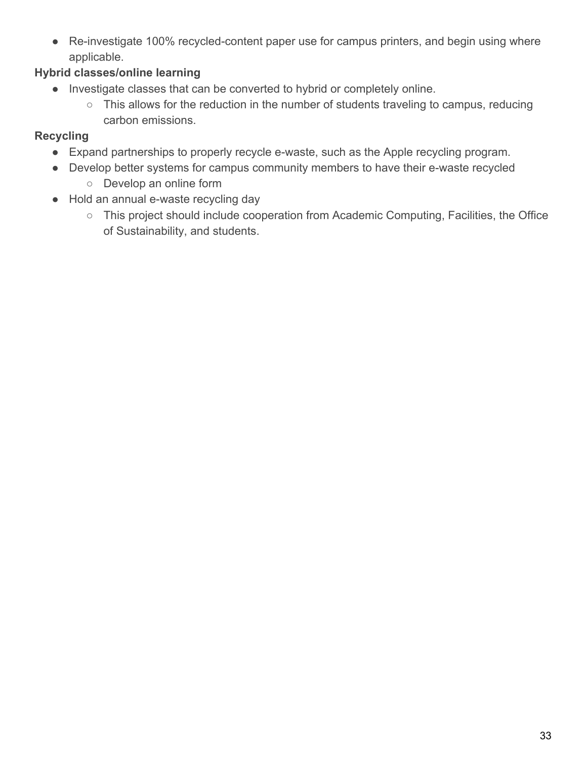● Re-investigate 100% recycled-content paper use for campus printers, and begin using where applicable.

### **Hybrid classes/online learning**

- Investigate classes that can be converted to hybrid or completely online.
	- This allows for the reduction in the number of students traveling to campus, reducing carbon emissions.

#### **Recycling**

- Expand partnerships to properly recycle e-waste, such as the Apple recycling program.
- Develop better systems for campus community members to have their e-waste recycled
	- Develop an online form
- Hold an annual e-waste recycling day
	- This project should include cooperation from Academic Computing, Facilities, the Office of Sustainability, and students.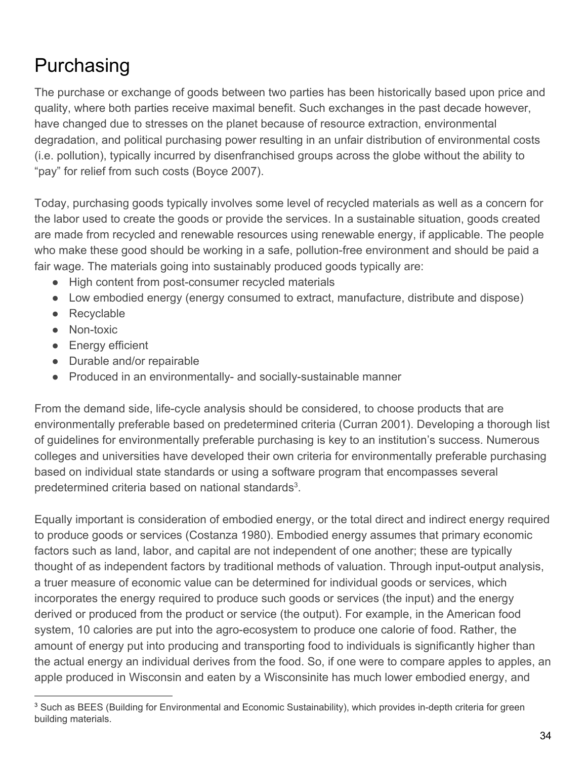# <span id="page-34-0"></span>Purchasing

The purchase or exchange of goods between two parties has been historically based upon price and quality, where both parties receive maximal benefit. Such exchanges in the past decade however, have changed due to stresses on the planet because of resource extraction, environmental degradation, and political purchasing power resulting in an unfair distribution of environmental costs (i.e. pollution), typically incurred by disenfranchised groups across the globe without the ability to "pay" for relief from such costs (Boyce 2007).

Today, purchasing goods typically involves some level of recycled materials as well as a concern for the labor used to create the goods or provide the services. In a sustainable situation, goods created are made from recycled and renewable resources using renewable energy, if applicable. The people who make these good should be working in a safe, pollution-free environment and should be paid a fair wage. The materials going into sustainably produced goods typically are:

- High content from post-consumer recycled materials
- Low embodied energy (energy consumed to extract, manufacture, distribute and dispose)
- Recyclable
- Non-toxic
- Energy efficient
- Durable and/or repairable
- Produced in an environmentally- and socially-sustainable manner

From the demand side, life-cycle analysis should be considered, to choose products that are environmentally preferable based on predetermined criteria (Curran 2001). Developing a thorough list of guidelines for environmentally preferable purchasing is key to an institution's success. Numerous colleges and universities have developed their own criteria for environmentally preferable purchasing based on individual state standards or using a software program that encompasses several predetermined criteria based on national standards<sup>3</sup>.

Equally important is consideration of embodied energy, or the total direct and indirect energy required to produce goods or services (Costanza 1980). Embodied energy assumes that primary economic factors such as land, labor, and capital are not independent of one another; these are typically thought of as independent factors by traditional methods of valuation. Through input-output analysis, a truer measure of economic value can be determined for individual goods or services, which incorporates the energy required to produce such goods or services (the input) and the energy derived or produced from the product or service (the output). For example, in the American food system, 10 calories are put into the agro-ecosystem to produce one calorie of food. Rather, the amount of energy put into producing and transporting food to individuals is significantly higher than the actual energy an individual derives from the food. So, if one were to compare apples to apples, an apple produced in Wisconsin and eaten by a Wisconsinite has much lower embodied energy, and

<sup>&</sup>lt;sup>3</sup> Such as BEES (Building for Environmental and Economic Sustainability), which provides in-depth criteria for green building materials.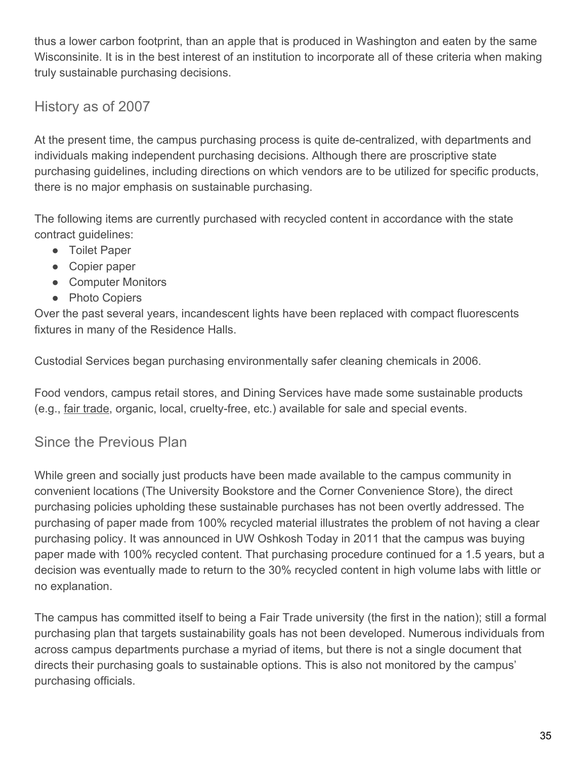thus a lower carbon footprint, than an apple that is produced in Washington and eaten by the same Wisconsinite. It is in the best interest of an institution to incorporate all of these criteria when making truly sustainable purchasing decisions.

# History as of 2007

At the present time, the campus purchasing process is quite de-centralized, with departments and individuals making independent purchasing decisions. Although there are proscriptive state purchasing guidelines, including directions on which vendors are to be utilized for specific products, there is no major emphasis on sustainable purchasing.

The following items are currently purchased with recycled content in accordance with the state contract guidelines:

- Toilet Paper
- Copier paper
- Computer Monitors
- Photo Copiers

Over the past several years, incandescent lights have been replaced with compact fluorescents fixtures in many of the Residence Halls.

Custodial Services began purchasing environmentally safer cleaning chemicals in 2006.

Food vendors, campus retail stores, and Dining Services have made some sustainable products (e.g., [fair trade](http://www.uwosh.edu/fairtrade/), organic, local, cruelty-free, etc.) available for sale and special events.

# Since the Previous Plan

While green and socially just products have been made available to the campus community in convenient locations (The University Bookstore and the Corner Convenience Store), the direct purchasing policies upholding these sustainable purchases has not been overtly addressed. The purchasing of paper made from 100% recycled material illustrates the problem of not having a clear purchasing policy. It was announced in UW Oshkosh Today in 2011 that the campus was buying paper made with 100% recycled content. That purchasing procedure continued for a 1.5 years, but a decision was eventually made to return to the 30% recycled content in high volume labs with little or no explanation.

The campus has committed itself to being a Fair Trade university (the first in the nation); still a formal purchasing plan that targets sustainability goals has not been developed. Numerous individuals from across campus departments purchase a myriad of items, but there is not a single document that directs their purchasing goals to sustainable options. This is also not monitored by the campus' purchasing officials.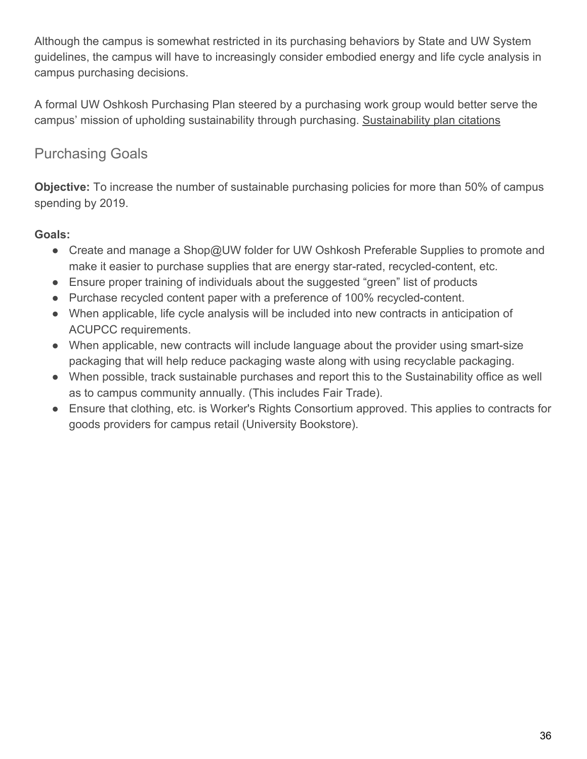Although the campus is somewhat restricted in its purchasing behaviors by State and UW System guidelines, the campus will have to increasingly consider embodied energy and life cycle analysis in campus purchasing decisions.

A formal UW Oshkosh Purchasing Plan steered by a purchasing work group would better serve the campus' mission of upholding sustainability through purchasing. [Sustainability plan citations](http://www.uwosh.edu/srd/index.php/references/keyword/susplan)

# Purchasing Goals

**Objective:** To increase the number of sustainable purchasing policies for more than 50% of campus spending by 2019.

# **Goals:**

- Create and manage a Shop@UW folder for UW Oshkosh Preferable Supplies to promote and make it easier to purchase supplies that are energy star-rated, recycled-content, etc.
- Ensure proper training of individuals about the suggested "green" list of products
- Purchase recycled content paper with a preference of 100% recycled-content.
- When applicable, life cycle analysis will be included into new contracts in anticipation of ACUPCC requirements.
- When applicable, new contracts will include language about the provider using smart-size packaging that will help reduce packaging waste along with using recyclable packaging.
- When possible, track sustainable purchases and report this to the Sustainability office as well as to campus community annually. (This includes Fair Trade).
- Ensure that clothing, etc. is Worker's Rights Consortium approved. This applies to contracts for goods providers for campus retail (University Bookstore).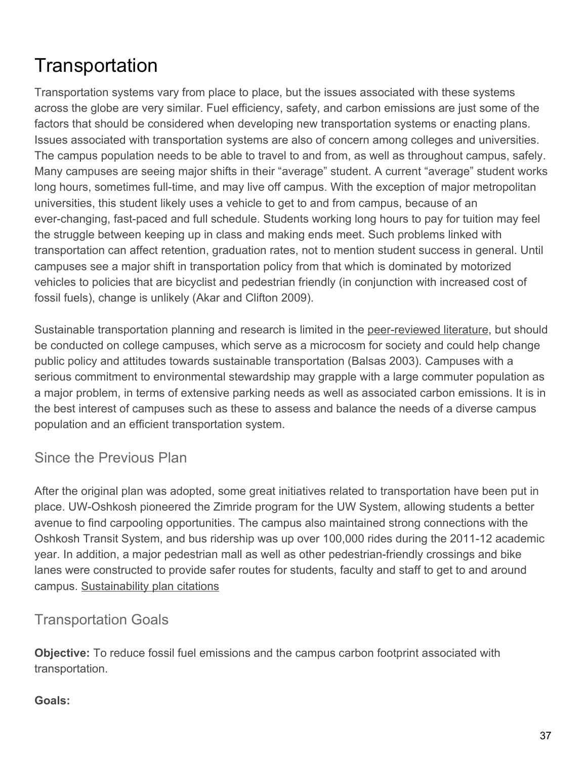# <span id="page-37-0"></span>**Transportation**

Transportation systems vary from place to place, but the issues associated with these systems across the globe are very similar. Fuel efficiency, safety, and carbon emissions are just some of the factors that should be considered when developing new transportation systems or enacting plans. Issues associated with transportation systems are also of concern among colleges and universities. The campus population needs to be able to travel to and from, as well as throughout campus, safely. Many campuses are seeing major shifts in their "average" student. A current "average" student works long hours, sometimes full-time, and may live off campus. With the exception of major metropolitan universities, this student likely uses a vehicle to get to and from campus, because of an ever-changing, fast-paced and full schedule. Students working long hours to pay for tuition may feel the struggle between keeping up in class and making ends meet. Such problems linked with transportation can affect retention, graduation rates, not to mention student success in general. Until campuses see a major shift in transportation policy from that which is dominated by motorized vehicles to policies that are bicyclist and pedestrian friendly (in conjunction with increased cost of fossil fuels), change is unlikely (Akar and Clifton 2009).

Sustainable transportation planning and research is limited in the [peer-reviewed literature](http://www.uwosh.edu/srd/index.php/references/keyword/JRNLS), but should be conducted on college campuses, which serve as a microcosm for society and could help change public policy and attitudes towards sustainable transportation (Balsas 2003). Campuses with a serious commitment to environmental stewardship may grapple with a large commuter population as a major problem, in terms of extensive parking needs as well as associated carbon emissions. It is in the best interest of campuses such as these to assess and balance the needs of a diverse campus population and an efficient transportation system.

Since the Previous Plan

After the original plan was adopted, some great initiatives related to transportation have been put in place. UW-Oshkosh pioneered the Zimride program for the UW System, allowing students a better avenue to find carpooling opportunities. The campus also maintained strong connections with the Oshkosh Transit System, and bus ridership was up over 100,000 rides during the 2011-12 academic year. In addition, a major pedestrian mall as well as other pedestrian-friendly crossings and bike lanes were constructed to provide safer routes for students, faculty and staff to get to and around campus. [Sustainability plan citations](http://www.uwosh.edu/srd/index.php/references/keyword/susplan)

# Transportation Goals

**Objective:** To reduce fossil fuel emissions and the campus carbon footprint associated with transportation.

#### **Goals:**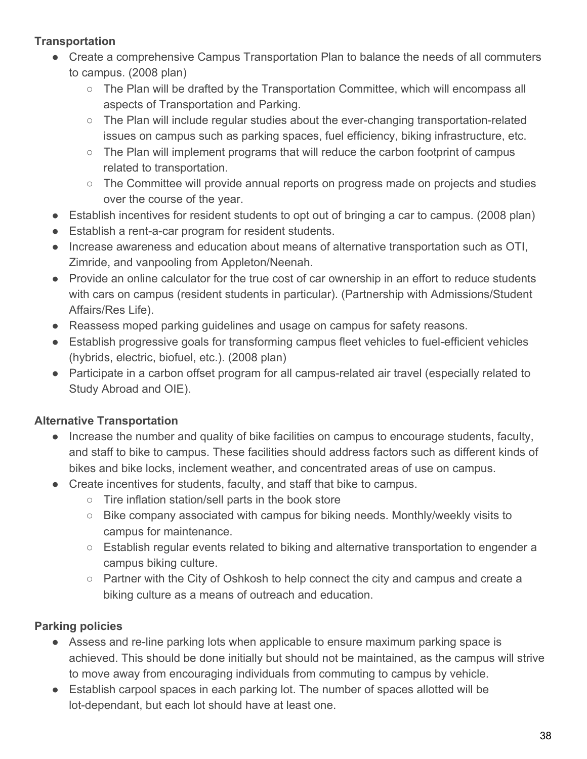# **Transportation**

- Create a comprehensive Campus Transportation Plan to balance the needs of all commuters to campus. (2008 plan)
	- $\circ$  The Plan will be drafted by the Transportation Committee, which will encompass all aspects of Transportation and Parking.
	- The Plan will include regular studies about the ever-changing transportation-related issues on campus such as parking spaces, fuel efficiency, biking infrastructure, etc.
	- $\circ$  The Plan will implement programs that will reduce the carbon footprint of campus related to transportation.
	- The Committee will provide annual reports on progress made on projects and studies over the course of the year.
- Establish incentives for resident students to opt out of bringing a car to campus. (2008 plan)
- Establish a rent-a-car program for resident students.
- Increase awareness and education about means of alternative transportation such as OTI, Zimride, and vanpooling from Appleton/Neenah.
- Provide an online calculator for the true cost of car ownership in an effort to reduce students with cars on campus (resident students in particular). (Partnership with Admissions/Student Affairs/Res Life).
- Reassess moped parking guidelines and usage on campus for safety reasons.
- Establish progressive goals for transforming campus fleet vehicles to fuel-efficient vehicles (hybrids, electric, biofuel, etc.). (2008 plan)
- Participate in a carbon offset program for all campus-related air travel (especially related to Study Abroad and OIE).

# **Alternative Transportation**

- Increase the number and quality of bike facilities on campus to encourage students, faculty, and staff to bike to campus. These facilities should address factors such as different kinds of bikes and bike locks, inclement weather, and concentrated areas of use on campus.
- Create incentives for students, faculty, and staff that bike to campus.
	- Tire inflation station/sell parts in the book store
	- Bike company associated with campus for biking needs. Monthly/weekly visits to campus for maintenance.
	- Establish regular events related to biking and alternative transportation to engender a campus biking culture.
	- $\circ$  Partner with the City of Oshkosh to help connect the city and campus and create a biking culture as a means of outreach and education.

# **Parking policies**

- Assess and re-line parking lots when applicable to ensure maximum parking space is achieved. This should be done initially but should not be maintained, as the campus will strive to move away from encouraging individuals from commuting to campus by vehicle.
- Establish carpool spaces in each parking lot. The number of spaces allotted will be lot-dependant, but each lot should have at least one.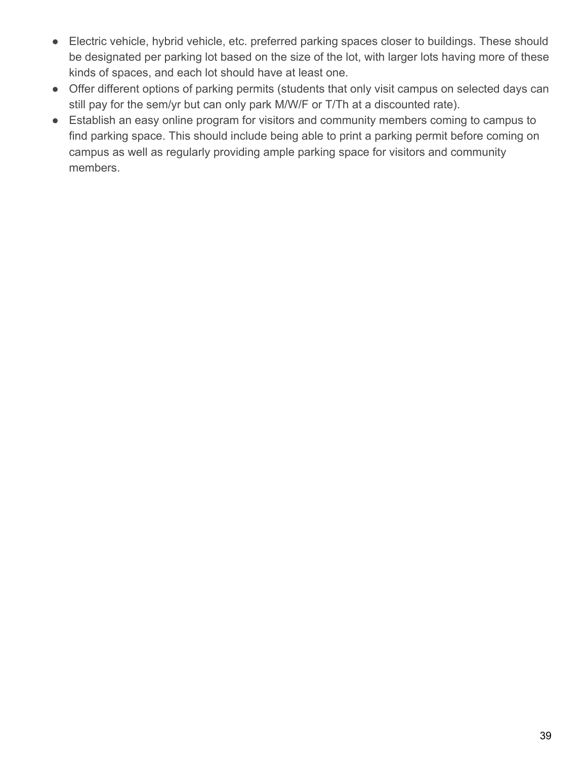- Electric vehicle, hybrid vehicle, etc. preferred parking spaces closer to buildings. These should be designated per parking lot based on the size of the lot, with larger lots having more of these kinds of spaces, and each lot should have at least one.
- Offer different options of parking permits (students that only visit campus on selected days can still pay for the sem/yr but can only park M/W/F or T/Th at a discounted rate).
- Establish an easy online program for visitors and community members coming to campus to find parking space. This should include being able to print a parking permit before coming on campus as well as regularly providing ample parking space for visitors and community members.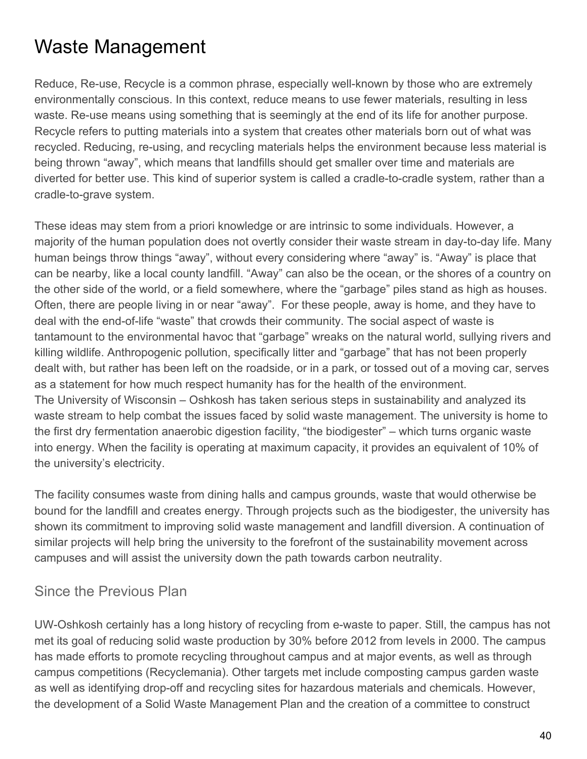# <span id="page-40-0"></span>Waste Management

Reduce, Re-use, Recycle is a common phrase, especially well-known by those who are extremely environmentally conscious. In this context, reduce means to use fewer materials, resulting in less waste. Re-use means using something that is seemingly at the end of its life for another purpose. Recycle refers to putting materials into a system that creates other materials born out of what was recycled. Reducing, re-using, and recycling materials helps the environment because less material is being thrown "away", which means that landfills should get smaller over time and materials are diverted for better use. This kind of superior system is called a cradle-to-cradle system, rather than a cradle-to-grave system.

These ideas may stem from a priori knowledge or are intrinsic to some individuals. However, a majority of the human population does not overtly consider their waste stream in day-to-day life. Many human beings throw things "away", without every considering where "away" is. "Away" is place that can be nearby, like a local county landfill. "Away" can also be the ocean, or the shores of a country on the other side of the world, or a field somewhere, where the "garbage" piles stand as high as houses. Often, there are people living in or near "away". For these people, away is home, and they have to deal with the end-of-life "waste" that crowds their community. The social aspect of waste is tantamount to the environmental havoc that "garbage" wreaks on the natural world, sullying rivers and killing wildlife. Anthropogenic pollution, specifically litter and "garbage" that has not been properly dealt with, but rather has been left on the roadside, or in a park, or tossed out of a moving car, serves as a statement for how much respect humanity has for the health of the environment. The University of Wisconsin – Oshkosh has taken serious steps in sustainability and analyzed its waste stream to help combat the issues faced by solid waste management. The university is home to the first dry fermentation anaerobic digestion facility, "the biodigester" – which turns organic waste into energy. When the facility is operating at maximum capacity, it provides an equivalent of 10% of the university's electricity.

The facility consumes waste from dining halls and campus grounds, waste that would otherwise be bound for the landfill and creates energy. Through projects such as the biodigester, the university has shown its commitment to improving solid waste management and landfill diversion. A continuation of similar projects will help bring the university to the forefront of the sustainability movement across campuses and will assist the university down the path towards carbon neutrality.

# Since the Previous Plan

UW-Oshkosh certainly has a long history of recycling from e-waste to paper. Still, the campus has not met its goal of reducing solid waste production by 30% before 2012 from levels in 2000. The campus has made efforts to promote recycling throughout campus and at major events, as well as through campus competitions (Recyclemania). Other targets met include composting campus garden waste as well as identifying drop-off and recycling sites for hazardous materials and chemicals. However, the development of a Solid Waste Management Plan and the creation of a committee to construct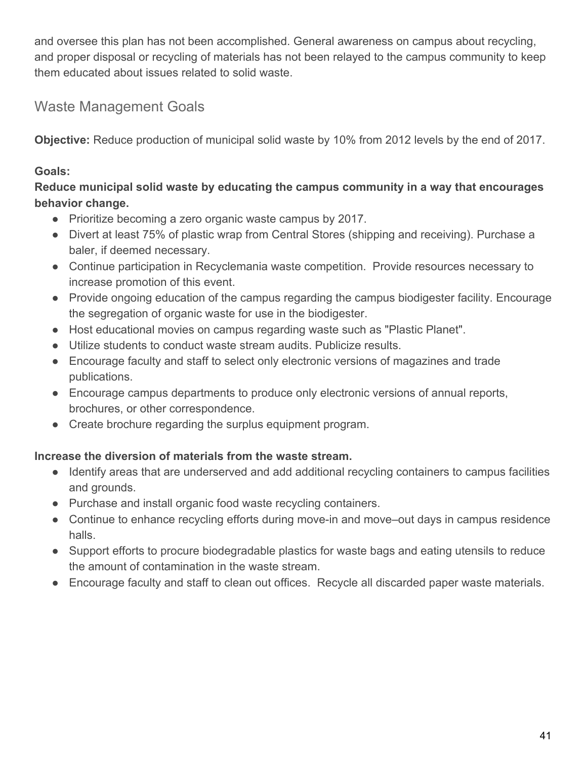and oversee this plan has not been accomplished. General awareness on campus about recycling, and proper disposal or recycling of materials has not been relayed to the campus community to keep them educated about issues related to solid waste.

# Waste Management Goals

**Objective:** Reduce production of municipal solid waste by 10% from 2012 levels by the end of 2017.

# **Goals:**

**Reduce municipal solid waste by educating the campus community in a way that encourages behavior change.**

- Prioritize becoming a zero organic waste campus by 2017.
- Divert at least 75% of plastic wrap from Central Stores (shipping and receiving). Purchase a baler, if deemed necessary.
- Continue participation in Recyclemania waste competition. Provide resources necessary to increase promotion of this event.
- Provide ongoing education of the campus regarding the campus biodigester facility. Encourage the segregation of organic waste for use in the biodigester.
- Host educational movies on campus regarding waste such as "Plastic Planet".
- Utilize students to conduct waste stream audits. Publicize results.
- Encourage faculty and staff to select only electronic versions of magazines and trade publications.
- Encourage campus departments to produce only electronic versions of annual reports, brochures, or other correspondence.
- Create brochure regarding the surplus equipment program.

# **Increase the diversion of materials from the waste stream.**

- Identify areas that are underserved and add additional recycling containers to campus facilities and grounds.
- Purchase and install organic food waste recycling containers.
- Continue to enhance recycling efforts during move-in and move–out days in campus residence halls.
- Support efforts to procure biodegradable plastics for waste bags and eating utensils to reduce the amount of contamination in the waste stream.
- Encourage faculty and staff to clean out offices. Recycle all discarded paper waste materials.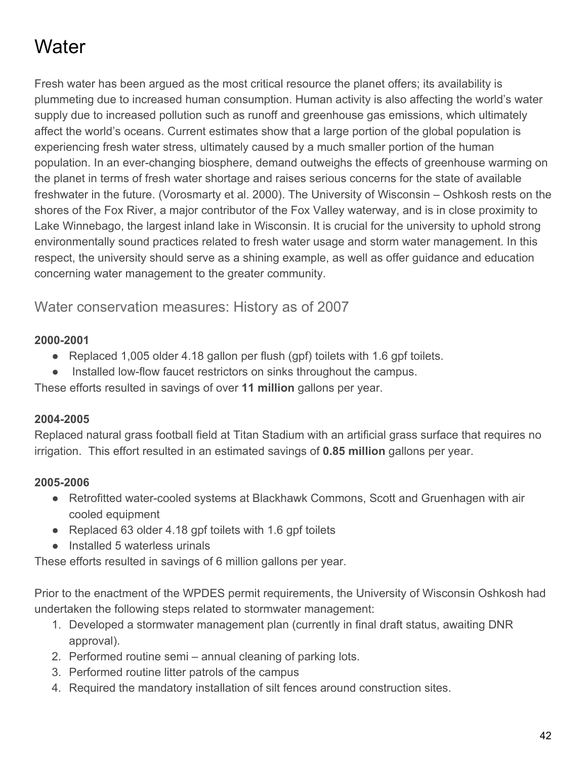# <span id="page-42-0"></span>**Water**

Fresh water has been argued as the most critical resource the planet offers; its availability is plummeting due to increased human consumption. Human activity is also affecting the world's water supply due to increased pollution such as runoff and greenhouse gas emissions, which ultimately affect the world's oceans. Current estimates show that a large portion of the global population is experiencing fresh water stress, ultimately caused by a much smaller portion of the human population. In an ever-changing biosphere, demand outweighs the effects of greenhouse warming on the planet in terms of fresh water shortage and raises serious concerns for the state of available freshwater in the future. (Vorosmarty et al. 2000). The University of Wisconsin – Oshkosh rests on the shores of the Fox River, a major contributor of the Fox Valley waterway, and is in close proximity to Lake Winnebago, the largest inland lake in Wisconsin. It is crucial for the university to uphold strong environmentally sound practices related to fresh water usage and storm water management. In this respect, the university should serve as a shining example, as well as offer guidance and education concerning water management to the greater community.

Water conservation measures: History as of 2007

#### **2000-2001**

- Replaced 1,005 older 4.18 gallon per flush (gpf) toilets with 1.6 gpf toilets.
- Installed low-flow faucet restrictors on sinks throughout the campus.

These efforts resulted in savings of over **11 million** gallons per year.

#### **2004-2005**

Replaced natural grass football field at Titan Stadium with an artificial grass surface that requires no irrigation. This effort resulted in an estimated savings of **0.85 million** gallons per year.

# **2005-2006**

- Retrofitted water-cooled systems at Blackhawk Commons, Scott and Gruenhagen with air cooled equipment
- Replaced 63 older 4.18 gpf toilets with 1.6 gpf toilets
- Installed 5 waterless urinals

These efforts resulted in savings of 6 million gallons per year.

Prior to the enactment of the WPDES permit requirements, the University of Wisconsin Oshkosh had undertaken the following steps related to stormwater management:

- 1. Developed a stormwater management plan (currently in final draft status, awaiting DNR approval).
- 2. Performed routine semi annual cleaning of parking lots.
- 3. Performed routine litter patrols of the campus
- 4. Required the mandatory installation of silt fences around construction sites.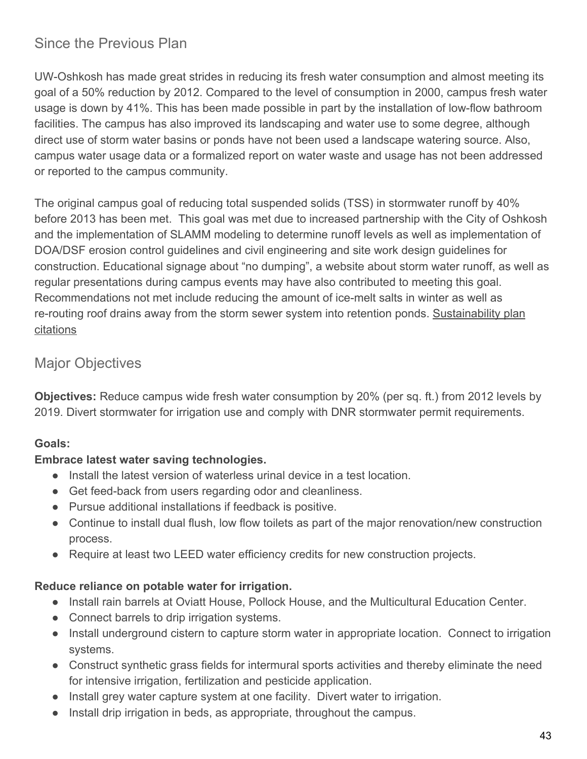# Since the Previous Plan

UW-Oshkosh has made great strides in reducing its fresh water consumption and almost meeting its goal of a 50% reduction by 2012. Compared to the level of consumption in 2000, campus fresh water usage is down by 41%. This has been made possible in part by the installation of low-flow bathroom facilities. The campus has also improved its landscaping and water use to some degree, although direct use of storm water basins or ponds have not been used a landscape watering source. Also, campus water usage data or a formalized report on water waste and usage has not been addressed or reported to the campus community.

The original campus goal of reducing total suspended solids (TSS) in stormwater runoff by 40% before 2013 has been met. This goal was met due to increased partnership with the City of Oshkosh and the implementation of SLAMM modeling to determine runoff levels as well as implementation of DOA/DSF erosion control guidelines and civil engineering and site work design guidelines for construction. Educational signage about "no dumping", a website about storm water runoff, as well as regular presentations during campus events may have also contributed to meeting this goal. Recommendations not met include reducing the amount of ice-melt salts in winter as well as re-routing roof drains away from the storm sewer system into retention ponds. [Sustainability plan](http://www.uwosh.edu/srd/index.php/references/keyword/susplan) [citations](http://www.uwosh.edu/srd/index.php/references/keyword/susplan)

# Major Objectives

**Objectives:** Reduce campus wide fresh water consumption by 20% (per sq. ft.) from 2012 levels by 2019. Divert stormwater for irrigation use and comply with DNR stormwater permit requirements.

#### **Goals:**

#### **Embrace latest water saving technologies.**

- Install the latest version of waterless urinal device in a test location.
- Get feed-back from users regarding odor and cleanliness.
- Pursue additional installations if feedback is positive.
- Continue to install dual flush, low flow toilets as part of the major renovation/new construction process.
- Require at least two LEED water efficiency credits for new construction projects.

#### **Reduce reliance on potable water for irrigation.**

- Install rain barrels at Oviatt House, Pollock House, and the Multicultural Education Center.
- Connect barrels to drip irrigation systems.
- Install underground cistern to capture storm water in appropriate location. Connect to irrigation systems.
- Construct synthetic grass fields for intermural sports activities and thereby eliminate the need for intensive irrigation, fertilization and pesticide application.
- Install grey water capture system at one facility. Divert water to irrigation.
- Install drip irrigation in beds, as appropriate, throughout the campus.